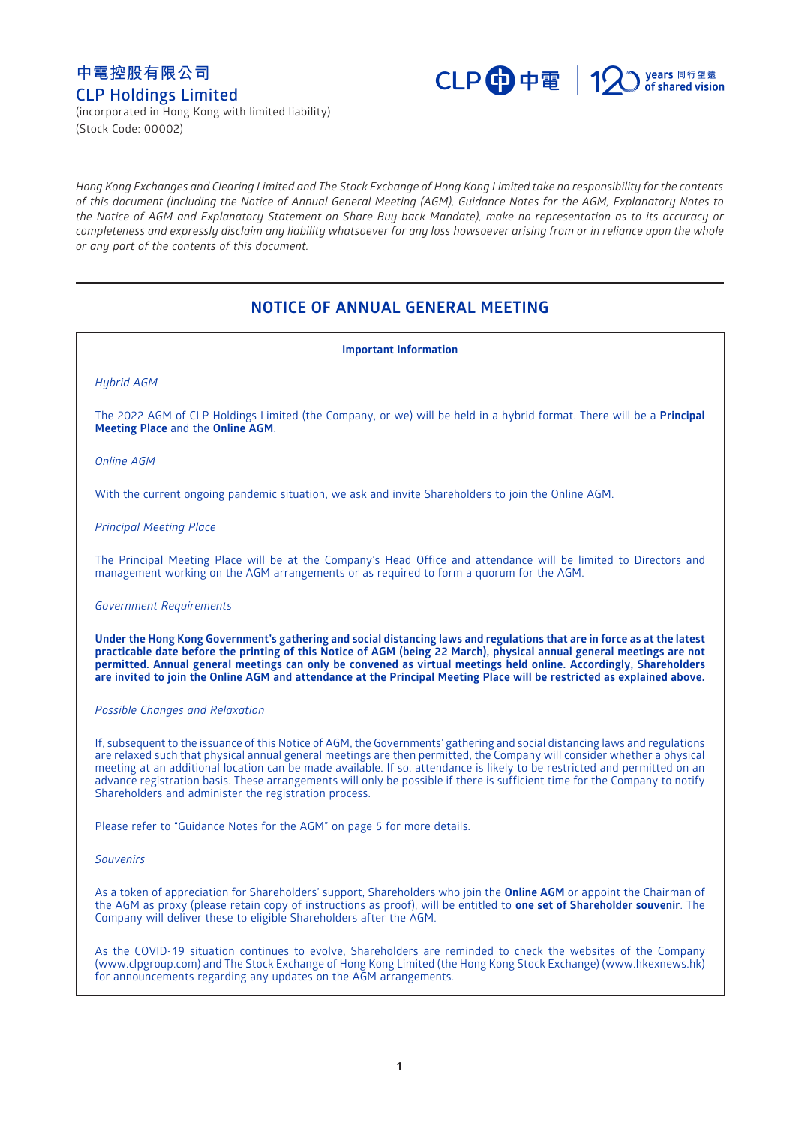# **中電控股有限公司 CLP Holdings Limited**



(incorporated in Hong Kong with limited liability) (Stock Code: 00002)

*Hong Kong Exchanges and Clearing Limited and The Stock Exchange of Hong Kong Limited take no responsibility for the contents of this document (including the Notice of Annual General Meeting (AGM), Guidance Notes for the AGM, Explanatory Notes to the Notice of AGM and Explanatory Statement on Share Buy-back Mandate), make no representation as to its accuracy or completeness and expressly disclaim any liability whatsoever for any loss howsoever arising from or in reliance upon the whole or any part of the contents of this document.*

# **NOTICE OF ANNUAL GENERAL MEETING**

**Important Information** *Hybrid AGM* The 2022 AGM of CLP Holdings Limited (the Company, or we) will be held in a hybrid format. There will be a **Principal Meeting Place** and the **Online AGM**. *Online AGM* With the current ongoing pandemic situation, we ask and invite Shareholders to join the Online AGM. *Principal Meeting Place* The Principal Meeting Place will be at the Company's Head Office and attendance will be limited to Directors and management working on the AGM arrangements or as required to form a quorum for the AGM. *Government Requirements* **Under the Hong Kong Government's gathering and social distancing laws and regulations that are in force as at the latest practicable date before the printing of this Notice of AGM (being 22 March), physical annual general meetings are not permitted. Annual general meetings can only be convened as virtual meetings held online. Accordingly, Shareholders are invited to join the Online AGM and attendance at the Principal Meeting Place will be restricted as explained above.** *Possible Changes and Relaxation* If, subsequent to the issuance of this Notice of AGM, the Governments' gathering and social distancing laws and regulations are relaxed such that physical annual general meetings are then permitted, the Company will consider whether a physical meeting at an additional location can be made available. If so, attendance is likely to be restricted and permitted on an advance registration basis. These arrangements will only be possible if there is sufficient time for the Company to notify Shareholders and administer the registration process. Please refer to "Guidance Notes for the AGM" on page 5 for more details. *Souvenirs* As a token of appreciation for Shareholders' support, Shareholders who join the **Online AGM** or appoint the Chairman of the AGM as proxy (please retain copy of instructions as proof), will be entitled to **one set of Shareholder souvenir**. The Company will deliver these to eligible Shareholders after the AGM.

As the COVID-19 situation continues to evolve, Shareholders are reminded to check the websites of the Company [\(www.clpgroup.com\)](https://www.clpgroup.com/en/index.html) and The Stock Exchange of Hong Kong Limited (the Hong Kong Stock Exchange) [\(www.hkexnews.hk\)](https://www.hkexnews.hk/) for announcements regarding any updates on the AGM arrangements.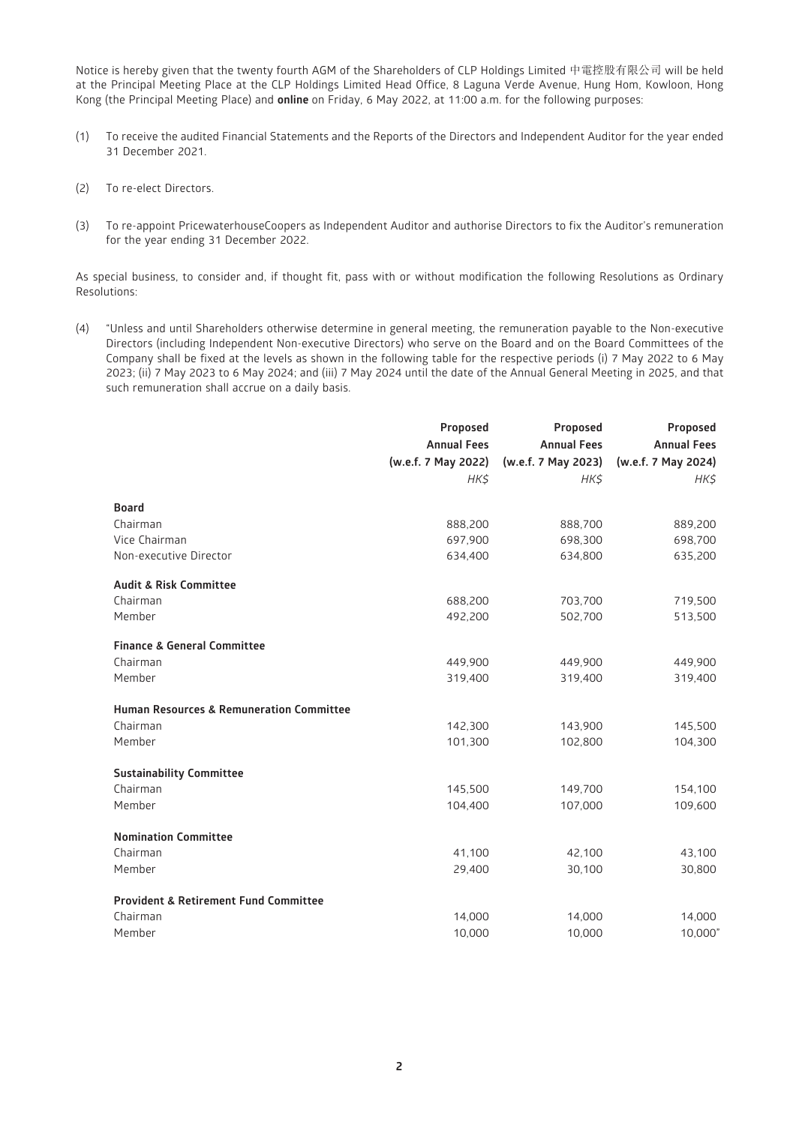Notice is hereby given that the twenty fourth AGM of the Shareholders of CLP Holdings Limited 中電控股有限公司 will be held at the Principal Meeting Place at the CLP Holdings Limited Head Office, 8 Laguna Verde Avenue, Hung Hom, Kowloon, Hong Kong (the Principal Meeting Place) and **online** on Friday, 6 May 2022, at 11:00 a.m. for the following purposes:

- (1) To receive the audited Financial Statements and the Reports of the Directors and Independent Auditor for the year ended 31 December 2021.
- (2) To re-elect Directors.
- (3) To re-appoint PricewaterhouseCoopers as Independent Auditor and authorise Directors to fix the Auditor's remuneration for the year ending 31 December 2022.

As special business, to consider and, if thought fit, pass with or without modification the following Resolutions as Ordinary Resolutions:

(4) "Unless and until Shareholders otherwise determine in general meeting, the remuneration payable to the Non-executive Directors (including Independent Non-executive Directors) who serve on the Board and on the Board Committees of the Company shall be fixed at the levels as shown in the following table for the respective periods (i) 7 May 2022 to 6 May 2023; (ii) 7 May 2023 to 6 May 2024; and (iii) 7 May 2024 until the date of the Annual General Meeting in 2025, and that such remuneration shall accrue on a daily basis.

|                                                     | Proposed            | Proposed            | Proposed            |
|-----------------------------------------------------|---------------------|---------------------|---------------------|
|                                                     | <b>Annual Fees</b>  | <b>Annual Fees</b>  | <b>Annual Fees</b>  |
|                                                     | (w.e.f. 7 May 2022) | (w.e.f. 7 May 2023) | (w.e.f. 7 May 2024) |
|                                                     | HK\$                | HK\$                | HK\$                |
| <b>Board</b>                                        |                     |                     |                     |
| Chairman                                            | 888,200             | 888,700             | 889,200             |
| Vice Chairman                                       | 697,900             | 698,300             | 698,700             |
| Non-executive Director                              | 634,400             | 634,800             | 635,200             |
|                                                     |                     |                     |                     |
| <b>Audit &amp; Risk Committee</b>                   |                     |                     |                     |
| Chairman                                            | 688,200             | 703,700             | 719,500             |
| Member                                              | 492.200             | 502,700             | 513,500             |
|                                                     |                     |                     |                     |
| <b>Finance &amp; General Committee</b><br>Chairman  | 449,900             |                     | 449,900             |
| Member                                              | 319,400             | 449,900<br>319,400  | 319,400             |
|                                                     |                     |                     |                     |
| <b>Human Resources &amp; Remuneration Committee</b> |                     |                     |                     |
| Chairman                                            | 142,300             | 143,900             | 145,500             |
| Member                                              | 101,300             | 102,800             | 104,300             |
|                                                     |                     |                     |                     |
| <b>Sustainability Committee</b>                     |                     |                     |                     |
| Chairman                                            | 145,500             | 149,700             | 154,100             |
| Member                                              | 104,400             | 107,000             | 109,600             |
| <b>Nomination Committee</b>                         |                     |                     |                     |
| Chairman                                            | 41,100              | 42,100              | 43,100              |
| Member                                              | 29,400              | 30,100              | 30,800              |
|                                                     |                     |                     |                     |
| <b>Provident &amp; Retirement Fund Committee</b>    |                     |                     |                     |
| Chairman                                            | 14,000              | 14,000              | 14,000              |
| Member                                              | 10,000              | 10,000              | 10,000"             |
|                                                     |                     |                     |                     |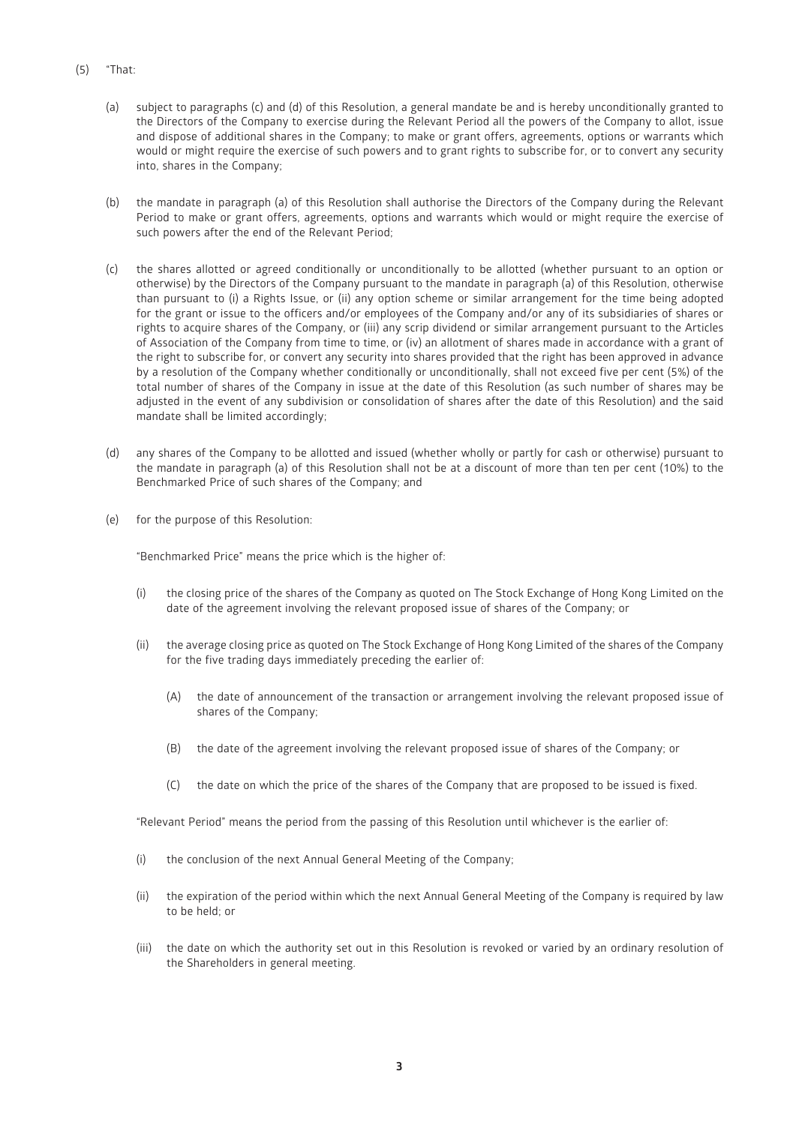- (5) "That:
	- (a) subject to paragraphs (c) and (d) of this Resolution, a general mandate be and is hereby unconditionally granted to the Directors of the Company to exercise during the Relevant Period all the powers of the Company to allot, issue and dispose of additional shares in the Company; to make or grant offers, agreements, options or warrants which would or might require the exercise of such powers and to grant rights to subscribe for, or to convert any security into, shares in the Company;
	- (b) the mandate in paragraph (a) of this Resolution shall authorise the Directors of the Company during the Relevant Period to make or grant offers, agreements, options and warrants which would or might require the exercise of such powers after the end of the Relevant Period;
	- (c) the shares allotted or agreed conditionally or unconditionally to be allotted (whether pursuant to an option or otherwise) by the Directors of the Company pursuant to the mandate in paragraph (a) of this Resolution, otherwise than pursuant to (i) a Rights Issue, or (ii) any option scheme or similar arrangement for the time being adopted for the grant or issue to the officers and/or employees of the Company and/or any of its subsidiaries of shares or rights to acquire shares of the Company, or (iii) any scrip dividend or similar arrangement pursuant to the Articles of Association of the Company from time to time, or (iv) an allotment of shares made in accordance with a grant of the right to subscribe for, or convert any security into shares provided that the right has been approved in advance by a resolution of the Company whether conditionally or unconditionally, shall not exceed five per cent (5%) of the total number of shares of the Company in issue at the date of this Resolution (as such number of shares may be adjusted in the event of any subdivision or consolidation of shares after the date of this Resolution) and the said mandate shall be limited accordingly;
	- (d) any shares of the Company to be allotted and issued (whether wholly or partly for cash or otherwise) pursuant to the mandate in paragraph (a) of this Resolution shall not be at a discount of more than ten per cent (10%) to the Benchmarked Price of such shares of the Company; and
	- (e) for the purpose of this Resolution:

"Benchmarked Price" means the price which is the higher of:

- (i) the closing price of the shares of the Company as quoted on The Stock Exchange of Hong Kong Limited on the date of the agreement involving the relevant proposed issue of shares of the Company; or
- (ii) the average closing price as quoted on The Stock Exchange of Hong Kong Limited of the shares of the Company for the five trading days immediately preceding the earlier of:
	- (A) the date of announcement of the transaction or arrangement involving the relevant proposed issue of shares of the Company;
	- (B) the date of the agreement involving the relevant proposed issue of shares of the Company; or
	- (C) the date on which the price of the shares of the Company that are proposed to be issued is fixed.

"Relevant Period" means the period from the passing of this Resolution until whichever is the earlier of:

- (i) the conclusion of the next Annual General Meeting of the Company;
- (ii) the expiration of the period within which the next Annual General Meeting of the Company is required by law to be held; or
- (iii) the date on which the authority set out in this Resolution is revoked or varied by an ordinary resolution of the Shareholders in general meeting.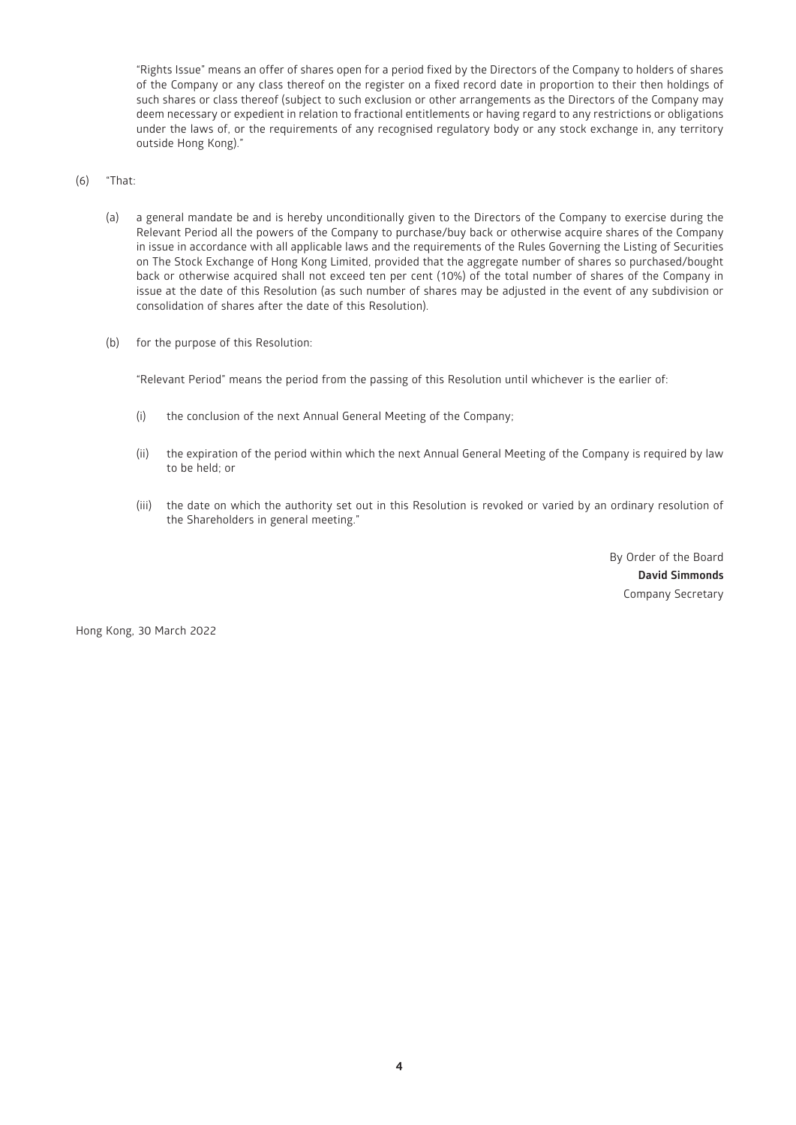"Rights Issue" means an offer of shares open for a period fixed by the Directors of the Company to holders of shares of the Company or any class thereof on the register on a fixed record date in proportion to their then holdings of such shares or class thereof (subject to such exclusion or other arrangements as the Directors of the Company may deem necessary or expedient in relation to fractional entitlements or having regard to any restrictions or obligations under the laws of, or the requirements of any recognised regulatory body or any stock exchange in, any territory outside Hong Kong)."

#### (6) "That:

- (a) a general mandate be and is hereby unconditionally given to the Directors of the Company to exercise during the Relevant Period all the powers of the Company to purchase/buy back or otherwise acquire shares of the Company in issue in accordance with all applicable laws and the requirements of the Rules Governing the Listing of Securities on The Stock Exchange of Hong Kong Limited, provided that the aggregate number of shares so purchased/bought back or otherwise acquired shall not exceed ten per cent (10%) of the total number of shares of the Company in issue at the date of this Resolution (as such number of shares may be adjusted in the event of any subdivision or consolidation of shares after the date of this Resolution).
- (b) for the purpose of this Resolution:

"Relevant Period" means the period from the passing of this Resolution until whichever is the earlier of:

- (i) the conclusion of the next Annual General Meeting of the Company;
- (ii) the expiration of the period within which the next Annual General Meeting of the Company is required by law to be held; or
- (iii) the date on which the authority set out in this Resolution is revoked or varied by an ordinary resolution of the Shareholders in general meeting."

By Order of the Board **David Simmonds** Company Secretary

Hong Kong, 30 March 2022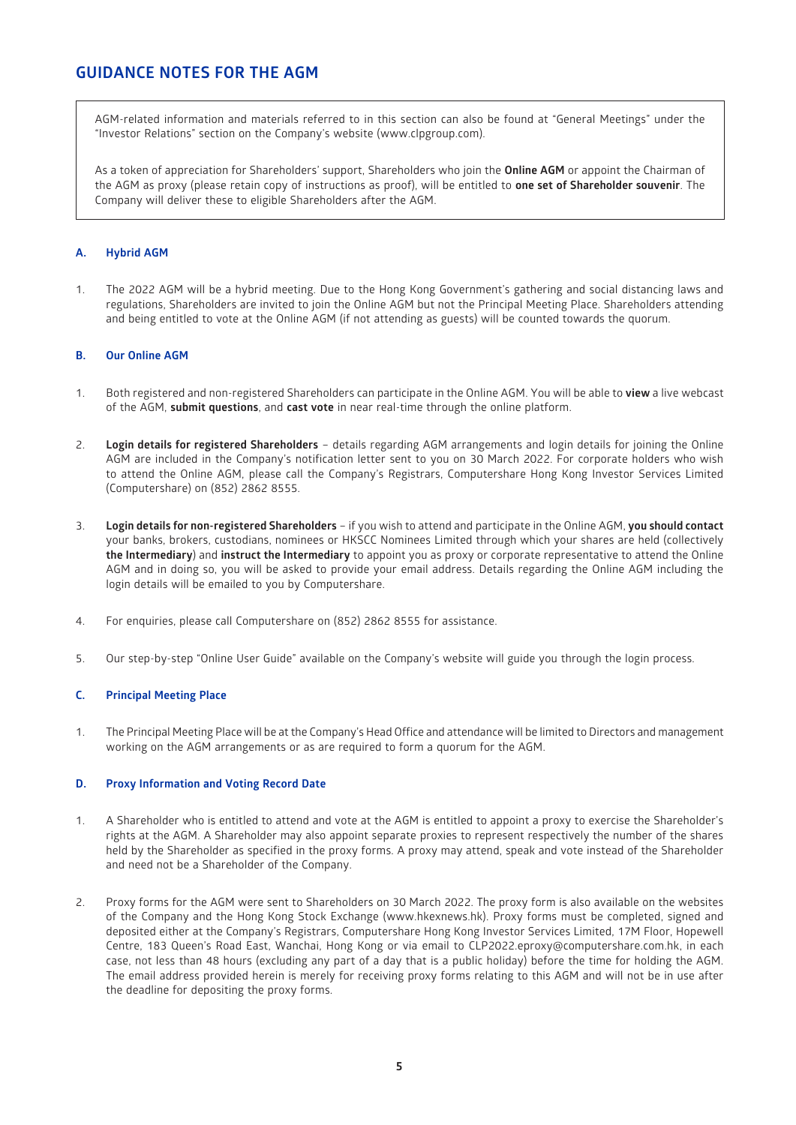# **GUIDANCE NOTES FOR THE AGM**

AGM-related information and materials referred to in this section can also be found at "General Meetings" under the "Investor Relations" section on the Company's website [\(www.clpgroup.com\)](https://www.clpgroup.com/en/index.html).

As a token of appreciation for Shareholders' support, Shareholders who join the **Online AGM** or appoint the Chairman of the AGM as proxy (please retain copy of instructions as proof), will be entitled to **one set of Shareholder souvenir**. The Company will deliver these to eligible Shareholders after the AGM.

# **A. Hybrid AGM**

1. The 2022 AGM will be a hybrid meeting. Due to the Hong Kong Government's gathering and social distancing laws and regulations, Shareholders are invited to join the Online AGM but not the Principal Meeting Place. Shareholders attending and being entitled to vote at the Online AGM (if not attending as guests) will be counted towards the quorum.

#### **B. Our Online AGM**

- 1. Both registered and non-registered Shareholders can participate in the Online AGM. You will be able to **view** a live webcast of the AGM, **submit questions**, and **cast vote** in near real-time through the online platform.
- 2. **Login details for registered Shareholders** details regarding AGM arrangements and login details for joining the Online AGM are included in the Company's notification letter sent to you on 30 March 2022. For corporate holders who wish to attend the Online AGM, please call the Company's Registrars, Computershare Hong Kong Investor Services Limited (Computershare) on (852) 2862 8555.
- 3. **Login details for non-registered Shareholders** if you wish to attend and participate in the Online AGM, **you should contact** your banks, brokers, custodians, nominees or HKSCC Nominees Limited through which your shares are held (collectively **the Intermediary**) and **instruct the Intermediary** to appoint you as proxy or corporate representative to attend the Online AGM and in doing so, you will be asked to provide your email address. Details regarding the Online AGM including the login details will be emailed to you by Computershare.
- 4. For enquiries, please call Computershare on (852) 2862 8555 for assistance.
- 5. Our step-by-step "Online User Guide" available on the Company's website will guide you through the login process.

## **C. Principal Meeting Place**

1. The Principal Meeting Place will be at the Company's Head Office and attendance will be limited to Directors and management working on the AGM arrangements or as are required to form a quorum for the AGM.

#### **D. Proxy Information and Voting Record Date**

- 1. A Shareholder who is entitled to attend and vote at the AGM is entitled to appoint a proxy to exercise the Shareholder's rights at the AGM. A Shareholder may also appoint separate proxies to represent respectively the number of the shares held by the Shareholder as specified in the proxy forms. A proxy may attend, speak and vote instead of the Shareholder and need not be a Shareholder of the Company.
- 2. Proxy forms for the AGM were sent to Shareholders on 30 March 2022. The proxy form is also available on the websites of the Company and the Hong Kong Stock Exchange [\(www.hkexnews.hk\)](https://www.hkexnews.hk/). Proxy forms must be completed, signed and deposited either at the Company's Registrars, Computershare Hong Kong Investor Services Limited, 17M Floor, Hopewell Centre, 183 Queen's Road East, Wanchai, Hong Kong or via email to [CLP2022.eproxy@computershare.com.hk,](mailto:CLP2022.eproxy@computershare.com.hk) in each case, not less than 48 hours (excluding any part of a day that is a public holiday) before the time for holding the AGM. The email address provided herein is merely for receiving proxy forms relating to this AGM and will not be in use after the deadline for depositing the proxy forms.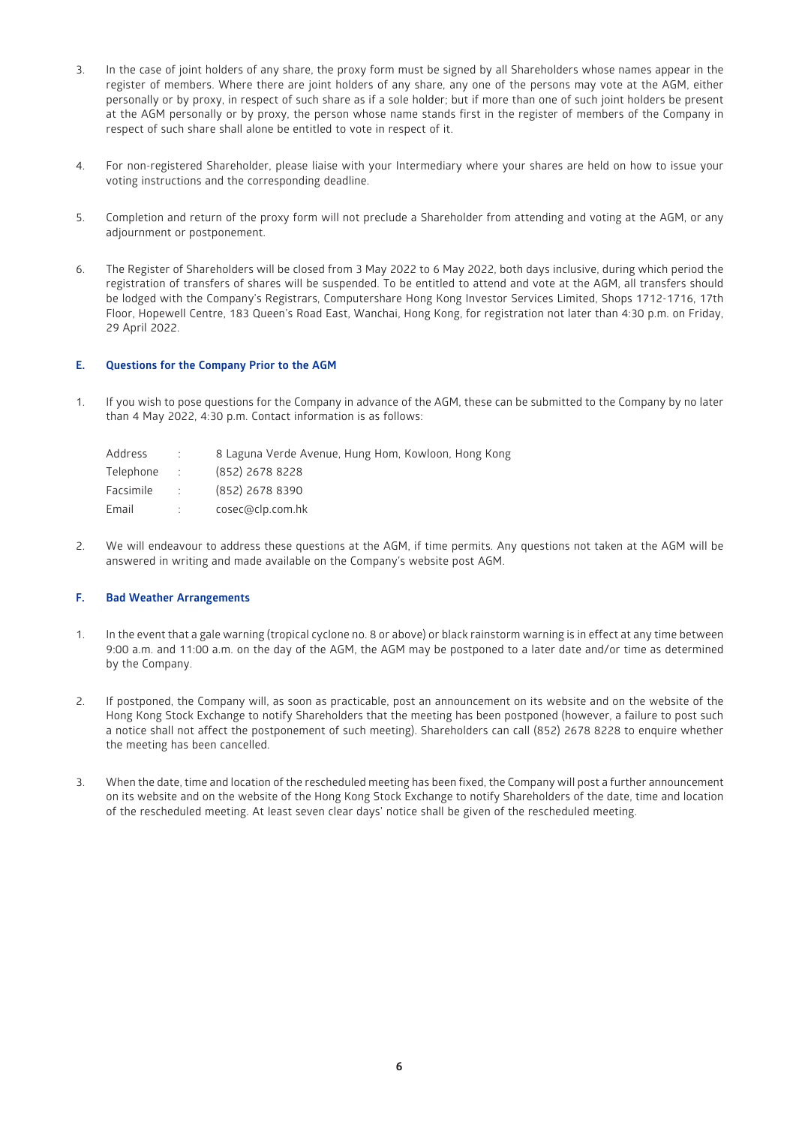- 3. In the case of joint holders of any share, the proxy form must be signed by all Shareholders whose names appear in the register of members. Where there are joint holders of any share, any one of the persons may vote at the AGM, either personally or by proxy, in respect of such share as if a sole holder; but if more than one of such joint holders be present at the AGM personally or by proxy, the person whose name stands first in the register of members of the Company in respect of such share shall alone be entitled to vote in respect of it.
- 4. For non-registered Shareholder, please liaise with your Intermediary where your shares are held on how to issue your voting instructions and the corresponding deadline.
- 5. Completion and return of the proxy form will not preclude a Shareholder from attending and voting at the AGM, or any adjournment or postponement.
- 6. The Register of Shareholders will be closed from 3 May 2022 to 6 May 2022, both days inclusive, during which period the registration of transfers of shares will be suspended. To be entitled to attend and vote at the AGM, all transfers should be lodged with the Company's Registrars, Computershare Hong Kong Investor Services Limited, Shops 1712-1716, 17th Floor, Hopewell Centre, 183 Queen's Road East, Wanchai, Hong Kong, for registration not later than 4:30 p.m. on Friday, 29 April 2022.

## **E. Questions for the Company Prior to the AGM**

1. If you wish to pose questions for the Company in advance of the AGM, these can be submitted to the Company by no later than 4 May 2022, 4:30 p.m. Contact information is as follows:

| <b>COL</b>     | 8 Laguna Verde Avenue, Hung Hom, Kowloon, Hong Kong |
|----------------|-----------------------------------------------------|
| <b>COLLEGE</b> | (852) 2678 8228                                     |
| <b>STEP</b>    | (852) 2678 8390                                     |
| it is a        | cosec@clp.com.hk                                    |
|                |                                                     |

2. We will endeavour to address these questions at the AGM, if time permits. Any questions not taken at the AGM will be answered in writing and made available on the Company's website post AGM.

# **F. Bad Weather Arrangements**

- 1. In the event that a gale warning (tropical cyclone no. 8 or above) or black rainstorm warning is in effect at any time between 9:00 a.m. and 11:00 a.m. on the day of the AGM, the AGM may be postponed to a later date and/or time as determined by the Company.
- 2. If postponed, the Company will, as soon as practicable, post an announcement on its website and on the website of the Hong Kong Stock Exchange to notify Shareholders that the meeting has been postponed (however, a failure to post such a notice shall not affect the postponement of such meeting). Shareholders can call (852) 2678 8228 to enquire whether the meeting has been cancelled.
- 3. When the date, time and location of the rescheduled meeting has been fixed, the Company will post a further announcement on its website and on the website of the Hong Kong Stock Exchange to notify Shareholders of the date, time and location of the rescheduled meeting. At least seven clear days' notice shall be given of the rescheduled meeting.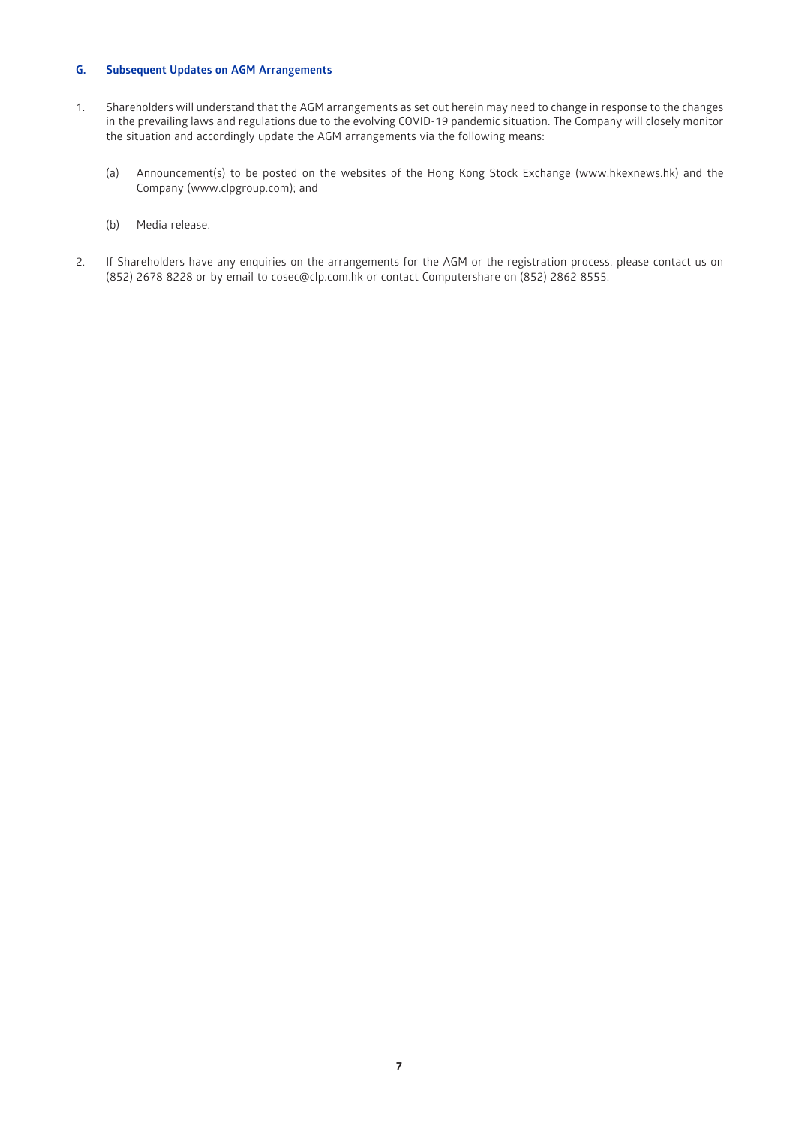# **G. Subsequent Updates on AGM Arrangements**

- 1. Shareholders will understand that the AGM arrangements as set out herein may need to change in response to the changes in the prevailing laws and regulations due to the evolving COVID-19 pandemic situation. The Company will closely monitor the situation and accordingly update the AGM arrangements via the following means:
	- (a) Announcement(s) to be posted on the websites of the Hong Kong Stock Exchange [\(www.hkexnews.hk\)](https://www.hkexnews.hk/) and the Company [\(www.clpgroup.com\)](https://www.clpgroup.com/en/index.html); and
	- (b) Media release.
- 2. If Shareholders have any enquiries on the arrangements for the AGM or the registration process, please contact us on (852) 2678 8228 or by email to [cosec@clp.com.hk](mailto:cosec@clp.com.hk) or contact Computershare on (852) 2862 8555.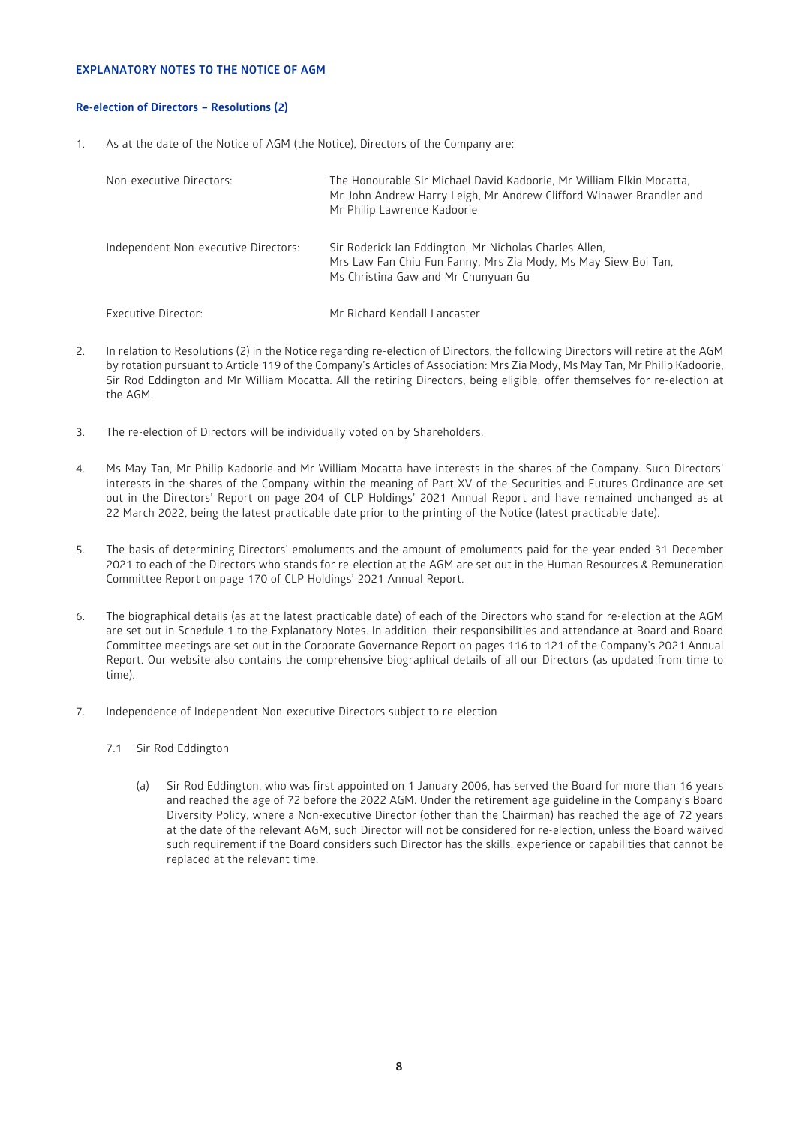# **EXPLANATORY NOTES TO THE NOTICE OF AGM**

# **Re-election of Directors – Resolutions (2)**

1. As at the date of the Notice of AGM (the Notice), Directors of the Company are:

| Non-executive Directors:             | The Honourable Sir Michael David Kadoorie, Mr William Elkin Mocatta,<br>Mr John Andrew Harry Leigh, Mr Andrew Clifford Winawer Brandler and<br>Mr Philip Lawrence Kadoorie |
|--------------------------------------|----------------------------------------------------------------------------------------------------------------------------------------------------------------------------|
| Independent Non-executive Directors: | Sir Roderick Ian Eddington, Mr Nicholas Charles Allen,<br>Mrs Law Fan Chiu Fun Fanny, Mrs Zia Mody, Ms May Siew Boi Tan,<br>Ms Christina Gaw and Mr Chunyuan Gu            |
| Executive Director:                  | Mr Richard Kendall Lancaster                                                                                                                                               |

- 2. In relation to Resolutions (2) in the Notice regarding re-election of Directors, the following Directors will retire at the AGM by rotation pursuant to Article 119 of the Company's Articles of Association: Mrs Zia Mody, Ms May Tan, Mr Philip Kadoorie, Sir Rod Eddington and Mr William Mocatta. All the retiring Directors, being eligible, offer themselves for re-election at the AGM.
- 3. The re-election of Directors will be individually voted on by Shareholders.
- 4. Ms May Tan, Mr Philip Kadoorie and Mr William Mocatta have interests in the shares of the Company. Such Directors' interests in the shares of the Company within the meaning of Part XV of the Securities and Futures Ordinance are set out in the Directors' Report on page 204 of CLP Holdings' 2021 Annual Report and have remained unchanged as at 22 March 2022, being the latest practicable date prior to the printing of the Notice (latest practicable date).
- 5. The basis of determining Directors' emoluments and the amount of emoluments paid for the year ended 31 December 2021 to each of the Directors who stands for re-election at the AGM are set out in the Human Resources & Remuneration Committee Report on page 170 of CLP Holdings' 2021 Annual Report.
- 6. The biographical details (as at the latest practicable date) of each of the Directors who stand for re-election at the AGM are set out in Schedule 1 to the Explanatory Notes. In addition, their responsibilities and attendance at Board and Board Committee meetings are set out in the Corporate Governance Report on pages 116 to 121 of the Company's 2021 Annual Report. Our website also contains the comprehensive biographical details of all our Directors (as updated from time to time).
- 7. Independence of Independent Non-executive Directors subject to re-election
	- 7.1 Sir Rod Eddington
		- (a) Sir Rod Eddington, who was first appointed on 1 January 2006, has served the Board for more than 16 years and reached the age of 72 before the 2022 AGM. Under the retirement age guideline in the Company's Board Diversity Policy, where a Non-executive Director (other than the Chairman) has reached the age of 72 years at the date of the relevant AGM, such Director will not be considered for re-election, unless the Board waived such requirement if the Board considers such Director has the skills, experience or capabilities that cannot be replaced at the relevant time.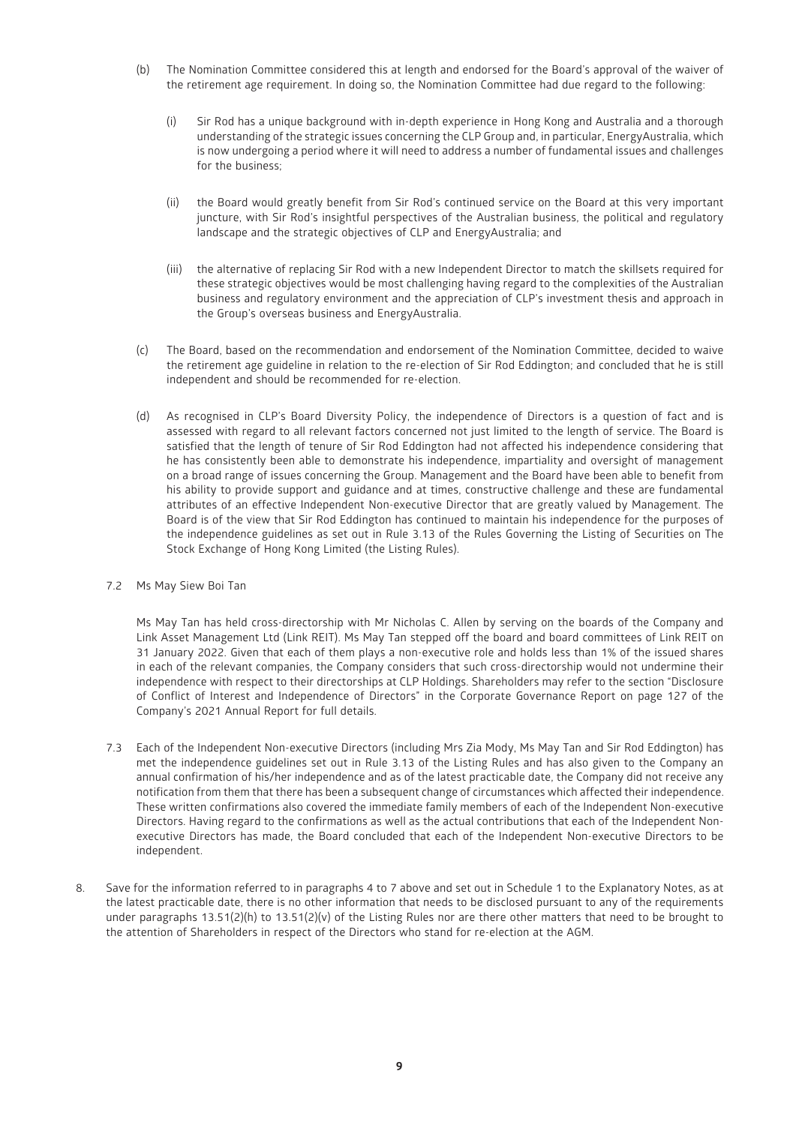- (b) The Nomination Committee considered this at length and endorsed for the Board's approval of the waiver of the retirement age requirement. In doing so, the Nomination Committee had due regard to the following:
	- (i) Sir Rod has a unique background with in-depth experience in Hong Kong and Australia and a thorough understanding of the strategic issues concerning the CLP Group and, in particular, EnergyAustralia, which is now undergoing a period where it will need to address a number of fundamental issues and challenges for the business;
	- (ii) the Board would greatly benefit from Sir Rod's continued service on the Board at this very important juncture, with Sir Rod's insightful perspectives of the Australian business, the political and regulatory landscape and the strategic objectives of CLP and EnergyAustralia; and
	- (iii) the alternative of replacing Sir Rod with a new Independent Director to match the skillsets required for these strategic objectives would be most challenging having regard to the complexities of the Australian business and regulatory environment and the appreciation of CLP's investment thesis and approach in the Group's overseas business and EnergyAustralia.
- (c) The Board, based on the recommendation and endorsement of the Nomination Committee, decided to waive the retirement age guideline in relation to the re-election of Sir Rod Eddington; and concluded that he is still independent and should be recommended for re-election.
- (d) As recognised in CLP's Board Diversity Policy, the independence of Directors is a question of fact and is assessed with regard to all relevant factors concerned not just limited to the length of service. The Board is satisfied that the length of tenure of Sir Rod Eddington had not affected his independence considering that he has consistently been able to demonstrate his independence, impartiality and oversight of management on a broad range of issues concerning the Group. Management and the Board have been able to benefit from his ability to provide support and guidance and at times, constructive challenge and these are fundamental attributes of an effective Independent Non-executive Director that are greatly valued by Management. The Board is of the view that Sir Rod Eddington has continued to maintain his independence for the purposes of the independence guidelines as set out in Rule 3.13 of the Rules Governing the Listing of Securities on The Stock Exchange of Hong Kong Limited (the Listing Rules).
- 7.2 Ms May Siew Boi Tan

Ms May Tan has held cross-directorship with Mr Nicholas C. Allen by serving on the boards of the Company and Link Asset Management Ltd (Link REIT). Ms May Tan stepped off the board and board committees of Link REIT on 31 January 2022. Given that each of them plays a non-executive role and holds less than 1% of the issued shares in each of the relevant companies, the Company considers that such cross-directorship would not undermine their independence with respect to their directorships at CLP Holdings. Shareholders may refer to the section "Disclosure of Conflict of Interest and Independence of Directors" in the Corporate Governance Report on page 127 of the Company's 2021 Annual Report for full details.

- 7.3 Each of the Independent Non-executive Directors (including Mrs Zia Mody, Ms May Tan and Sir Rod Eddington) has met the independence guidelines set out in Rule 3.13 of the Listing Rules and has also given to the Company an annual confirmation of his/her independence and as of the latest practicable date, the Company did not receive any notification from them that there has been a subsequent change of circumstances which affected their independence. These written confirmations also covered the immediate family members of each of the Independent Non-executive Directors. Having regard to the confirmations as well as the actual contributions that each of the Independent Nonexecutive Directors has made, the Board concluded that each of the Independent Non-executive Directors to be independent.
- 8. Save for the information referred to in paragraphs 4 to 7 above and set out in Schedule 1 to the Explanatory Notes, as at the latest practicable date, there is no other information that needs to be disclosed pursuant to any of the requirements under paragraphs 13.51(2)(h) to 13.51(2)(v) of the Listing Rules nor are there other matters that need to be brought to the attention of Shareholders in respect of the Directors who stand for re-election at the AGM.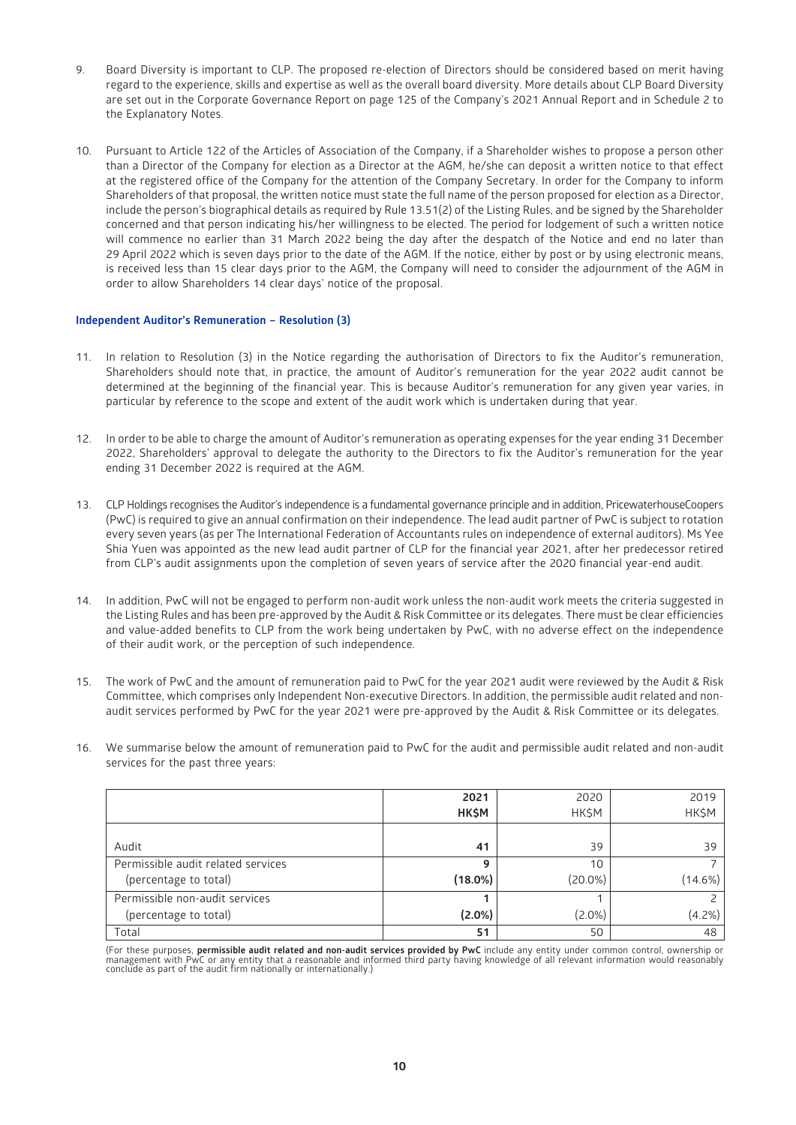- 9. Board Diversity is important to CLP. The proposed re-election of Directors should be considered based on merit having regard to the experience, skills and expertise as well as the overall board diversity. More details about CLP Board Diversity are set out in the Corporate Governance Report on page 125 of the Company's 2021 Annual Report and in Schedule 2 to the Explanatory Notes.
- 10. Pursuant to Article 122 of the Articles of Association of the Company, if a Shareholder wishes to propose a person other than a Director of the Company for election as a Director at the AGM, he/she can deposit a written notice to that effect at the registered office of the Company for the attention of the Company Secretary. In order for the Company to inform Shareholders of that proposal, the written notice must state the full name of the person proposed for election as a Director, include the person's biographical details as required by Rule 13.51(2) of the Listing Rules, and be signed by the Shareholder concerned and that person indicating his/her willingness to be elected. The period for lodgement of such a written notice will commence no earlier than 31 March 2022 being the day after the despatch of the Notice and end no later than 29 April 2022 which is seven days prior to the date of the AGM. If the notice, either by post or by using electronic means, is received less than 15 clear days prior to the AGM, the Company will need to consider the adjournment of the AGM in order to allow Shareholders 14 clear days' notice of the proposal.

#### **Independent Auditor's Remuneration – Resolution (3)**

- 11. In relation to Resolution (3) in the Notice regarding the authorisation of Directors to fix the Auditor's remuneration, Shareholders should note that, in practice, the amount of Auditor's remuneration for the year 2022 audit cannot be determined at the beginning of the financial year. This is because Auditor's remuneration for any given year varies, in particular by reference to the scope and extent of the audit work which is undertaken during that year.
- 12. In order to be able to charge the amount of Auditor's remuneration as operating expenses for the year ending 31 December 2022, Shareholders' approval to delegate the authority to the Directors to fix the Auditor's remuneration for the year ending 31 December 2022 is required at the AGM.
- 13. CLP Holdings recognises the Auditor's independence is a fundamental governance principle and in addition, PricewaterhouseCoopers (PwC) is required to give an annual confirmation on their independence. The lead audit partner of PwC is subject to rotation every seven years (as per The International Federation of Accountants rules on independence of external auditors). Ms Yee Shia Yuen was appointed as the new lead audit partner of CLP for the financial year 2021, after her predecessor retired from CLP's audit assignments upon the completion of seven years of service after the 2020 financial year-end audit.
- 14. In addition, PwC will not be engaged to perform non-audit work unless the non-audit work meets the criteria suggested in the Listing Rules and has been pre-approved by the Audit & Risk Committee or its delegates. There must be clear efficiencies and value-added benefits to CLP from the work being undertaken by PwC, with no adverse effect on the independence of their audit work, or the perception of such independence.
- 15. The work of PwC and the amount of remuneration paid to PwC for the year 2021 audit were reviewed by the Audit & Risk Committee, which comprises only Independent Non-executive Directors. In addition, the permissible audit related and nonaudit services performed by PwC for the year 2021 were pre-approved by the Audit & Risk Committee or its delegates.
- 16. We summarise below the amount of remuneration paid to PwC for the audit and permissible audit related and non-audit services for the past three years:

|                                    | 2021       | 2020       | 2019       |
|------------------------------------|------------|------------|------------|
|                                    | HK\$M      | HK\$M      | HK\$M      |
|                                    |            |            |            |
| Audit                              | 41         | 39         | 39         |
| Permissible audit related services | 9          | 10         |            |
| (percentage to total)              | $(18.0\%)$ | $(20.0\%)$ | $(14.6\%)$ |
| Permissible non-audit services     |            |            |            |
| (percentage to total)              | $(2.0\%)$  | $(2.0\%)$  | $(4.2\%)$  |
| Total                              | 51         | 50         | 48         |

(For these purposes, **permissible audit related and non-audit services provided by PwC** include any entity under common control, ownership or<br>management with PwC or any entity that a reasonable and informed third party hav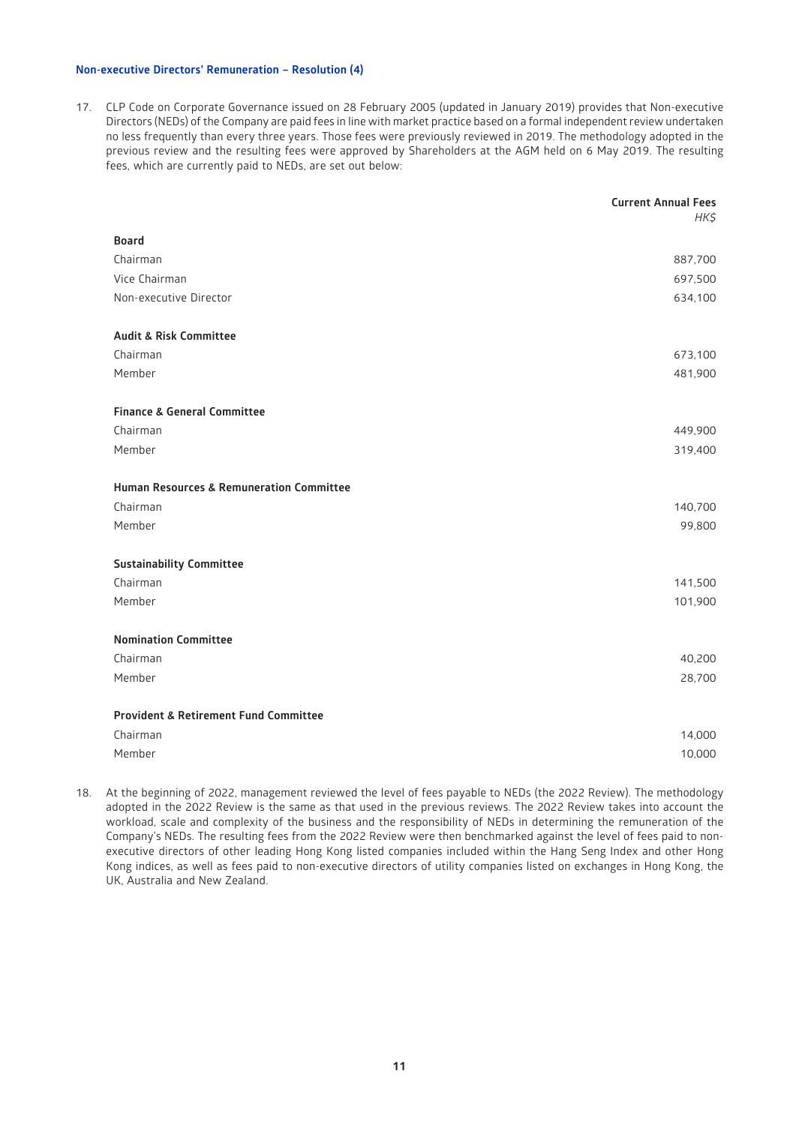## **Non-executive Directors' Remuneration – Resolution (4)**

17. CLP Code on Corporate Governance issued on 28 February 2005 (updated in January 2019) provides that Non-executive Directors (NEDs) of the Company are paid fees in line with market practice based on a formal independent review undertaken no less frequently than every three years. Those fees were previously reviewed in 2019. The methodology adopted in the previous review and the resulting fees were approved by Shareholders at the AGM held on 6 May 2019. The resulting fees, which are currently paid to NEDs, are set out below:

|                                                     | <b>Current Annual Fees</b><br>HK\$ |
|-----------------------------------------------------|------------------------------------|
| <b>Board</b>                                        |                                    |
| Chairman                                            | 887,700                            |
| Vice Chairman                                       | 697,500                            |
| Non-executive Director                              | 634,100                            |
| <b>Audit &amp; Risk Committee</b>                   |                                    |
| Chairman                                            | 673,100                            |
| Member                                              | 481,900                            |
| <b>Finance &amp; General Committee</b>              |                                    |
| Chairman                                            | 449,900                            |
| Member                                              | 319,400                            |
| <b>Human Resources &amp; Remuneration Committee</b> |                                    |
| Chairman                                            | 140,700                            |
| Member                                              | 99,800                             |
| <b>Sustainability Committee</b>                     |                                    |
| Chairman                                            | 141,500                            |
| Member                                              | 101,900                            |
| <b>Nomination Committee</b>                         |                                    |
| Chairman                                            | 40,200                             |
| Member                                              | 28,700                             |
| <b>Provident &amp; Retirement Fund Committee</b>    |                                    |
| Chairman                                            | 14,000                             |
| Member                                              | 10,000                             |

18. At the beginning of 2022, management reviewed the level of fees payable to NEDs (the 2022 Review). The methodology adopted in the 2022 Review is the same as that used in the previous reviews. The 2022 Review takes into account the workload, scale and complexity of the business and the responsibility of NEDs in determining the remuneration of the Company's NEDs. The resulting fees from the 2022 Review were then benchmarked against the level of fees paid to nonexecutive directors of other leading Hong Kong listed companies included within the Hang Seng Index and other Hong Kong indices, as well as fees paid to non-executive directors of utility companies listed on exchanges in Hong Kong, the UK, Australia and New Zealand.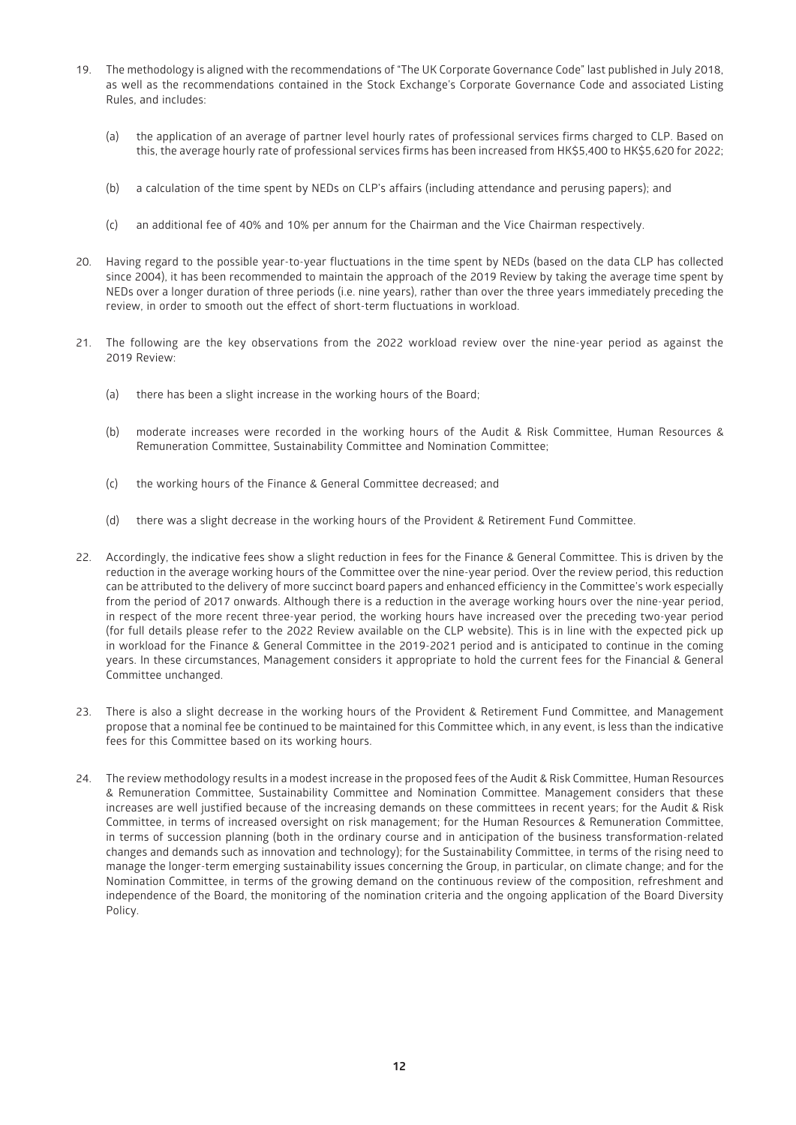- 19. The methodology is aligned with the recommendations of "The UK Corporate Governance Code" last published in July 2018, as well as the recommendations contained in the Stock Exchange's Corporate Governance Code and associated Listing Rules, and includes:
	- (a) the application of an average of partner level hourly rates of professional services firms charged to CLP. Based on this, the average hourly rate of professional services firms has been increased from HK\$5,400 to HK\$5,620 for 2022;
	- (b) a calculation of the time spent by NEDs on CLP's affairs (including attendance and perusing papers); and
	- (c) an additional fee of 40% and 10% per annum for the Chairman and the Vice Chairman respectively.
- 20. Having regard to the possible year-to-year fluctuations in the time spent by NEDs (based on the data CLP has collected since 2004), it has been recommended to maintain the approach of the 2019 Review by taking the average time spent by NEDs over a longer duration of three periods (i.e. nine years), rather than over the three years immediately preceding the review, in order to smooth out the effect of short-term fluctuations in workload.
- 21. The following are the key observations from the 2022 workload review over the nine-year period as against the 2019 Review:
	- (a) there has been a slight increase in the working hours of the Board;
	- (b) moderate increases were recorded in the working hours of the Audit & Risk Committee, Human Resources & Remuneration Committee, Sustainability Committee and Nomination Committee;
	- (c) the working hours of the Finance & General Committee decreased; and
	- (d) there was a slight decrease in the working hours of the Provident & Retirement Fund Committee.
- 22. Accordingly, the indicative fees show a slight reduction in fees for the Finance & General Committee. This is driven by the reduction in the average working hours of the Committee over the nine-year period. Over the review period, this reduction can be attributed to the delivery of more succinct board papers and enhanced efficiency in the Committee's work especially from the period of 2017 onwards. Although there is a reduction in the average working hours over the nine-year period, in respect of the more recent three-year period, the working hours have increased over the preceding two-year period (for full details please refer to the 2022 Review available on the CLP website). This is in line with the expected pick up in workload for the Finance & General Committee in the 2019-2021 period and is anticipated to continue in the coming years. In these circumstances, Management considers it appropriate to hold the current fees for the Financial & General Committee unchanged.
- 23. There is also a slight decrease in the working hours of the Provident & Retirement Fund Committee, and Management propose that a nominal fee be continued to be maintained for this Committee which, in any event, is less than the indicative fees for this Committee based on its working hours.
- 24. The review methodology results in a modest increase in the proposed fees of the Audit & Risk Committee, Human Resources & Remuneration Committee, Sustainability Committee and Nomination Committee. Management considers that these increases are well justified because of the increasing demands on these committees in recent years; for the Audit & Risk Committee, in terms of increased oversight on risk management; for the Human Resources & Remuneration Committee, in terms of succession planning (both in the ordinary course and in anticipation of the business transformation-related changes and demands such as innovation and technology); for the Sustainability Committee, in terms of the rising need to manage the longer-term emerging sustainability issues concerning the Group, in particular, on climate change; and for the Nomination Committee, in terms of the growing demand on the continuous review of the composition, refreshment and independence of the Board, the monitoring of the nomination criteria and the ongoing application of the Board Diversity Policy.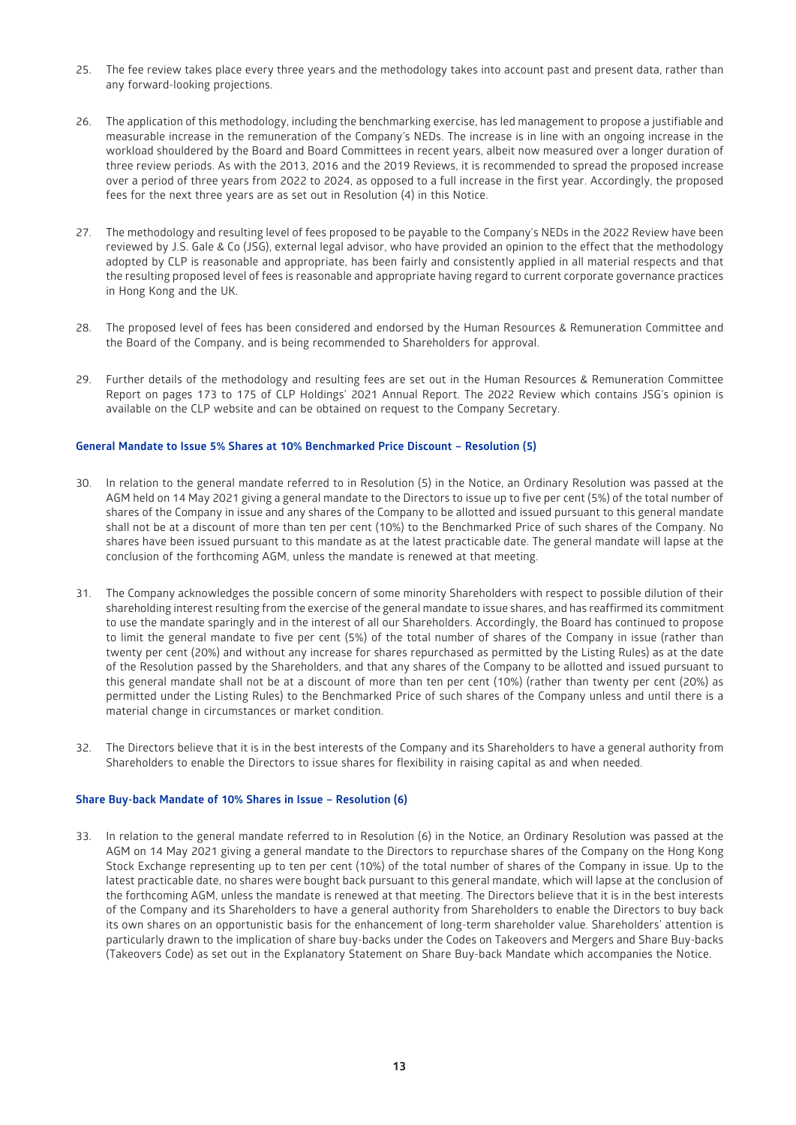- 25. The fee review takes place every three years and the methodology takes into account past and present data, rather than any forward-looking projections.
- 26. The application of this methodology, including the benchmarking exercise, has led management to propose a justifiable and measurable increase in the remuneration of the Company's NEDs. The increase is in line with an ongoing increase in the workload shouldered by the Board and Board Committees in recent years, albeit now measured over a longer duration of three review periods. As with the 2013, 2016 and the 2019 Reviews, it is recommended to spread the proposed increase over a period of three years from 2022 to 2024, as opposed to a full increase in the first year. Accordingly, the proposed fees for the next three years are as set out in Resolution (4) in this Notice.
- 27. The methodology and resulting level of fees proposed to be payable to the Company's NEDs in the 2022 Review have been reviewed by J.S. Gale & Co (JSG), external legal advisor, who have provided an opinion to the effect that the methodology adopted by CLP is reasonable and appropriate, has been fairly and consistently applied in all material respects and that the resulting proposed level of fees is reasonable and appropriate having regard to current corporate governance practices in Hong Kong and the UK.
- 28. The proposed level of fees has been considered and endorsed by the Human Resources & Remuneration Committee and the Board of the Company, and is being recommended to Shareholders for approval.
- 29. Further details of the methodology and resulting fees are set out in the Human Resources & Remuneration Committee Report on pages 173 to 175 of CLP Holdings' 2021 Annual Report. The 2022 Review which contains JSG's opinion is available on the CLP website and can be obtained on request to the Company Secretary.

#### **General Mandate to Issue 5% Shares at 10% Benchmarked Price Discount – Resolution (5)**

- 30. In relation to the general mandate referred to in Resolution (5) in the Notice, an Ordinary Resolution was passed at the AGM held on 14 May 2021 giving a general mandate to the Directors to issue up to five per cent (5%) of the total number of shares of the Company in issue and any shares of the Company to be allotted and issued pursuant to this general mandate shall not be at a discount of more than ten per cent (10%) to the Benchmarked Price of such shares of the Company. No shares have been issued pursuant to this mandate as at the latest practicable date. The general mandate will lapse at the conclusion of the forthcoming AGM, unless the mandate is renewed at that meeting.
- 31. The Company acknowledges the possible concern of some minority Shareholders with respect to possible dilution of their shareholding interest resulting from the exercise of the general mandate to issue shares, and has reaffirmed its commitment to use the mandate sparingly and in the interest of all our Shareholders. Accordingly, the Board has continued to propose to limit the general mandate to five per cent (5%) of the total number of shares of the Company in issue (rather than twenty per cent (20%) and without any increase for shares repurchased as permitted by the Listing Rules) as at the date of the Resolution passed by the Shareholders, and that any shares of the Company to be allotted and issued pursuant to this general mandate shall not be at a discount of more than ten per cent (10%) (rather than twenty per cent (20%) as permitted under the Listing Rules) to the Benchmarked Price of such shares of the Company unless and until there is a material change in circumstances or market condition.
- 32. The Directors believe that it is in the best interests of the Company and its Shareholders to have a general authority from Shareholders to enable the Directors to issue shares for flexibility in raising capital as and when needed.

#### **Share Buy-back Mandate of 10% Shares in Issue – Resolution (6)**

33. In relation to the general mandate referred to in Resolution (6) in the Notice, an Ordinary Resolution was passed at the AGM on 14 May 2021 giving a general mandate to the Directors to repurchase shares of the Company on the Hong Kong Stock Exchange representing up to ten per cent (10%) of the total number of shares of the Company in issue. Up to the latest practicable date, no shares were bought back pursuant to this general mandate, which will lapse at the conclusion of the forthcoming AGM, unless the mandate is renewed at that meeting. The Directors believe that it is in the best interests of the Company and its Shareholders to have a general authority from Shareholders to enable the Directors to buy back its own shares on an opportunistic basis for the enhancement of long-term shareholder value. Shareholders' attention is particularly drawn to the implication of share buy-backs under the Codes on Takeovers and Mergers and Share Buy-backs (Takeovers Code) as set out in the Explanatory Statement on Share Buy-back Mandate which accompanies the Notice.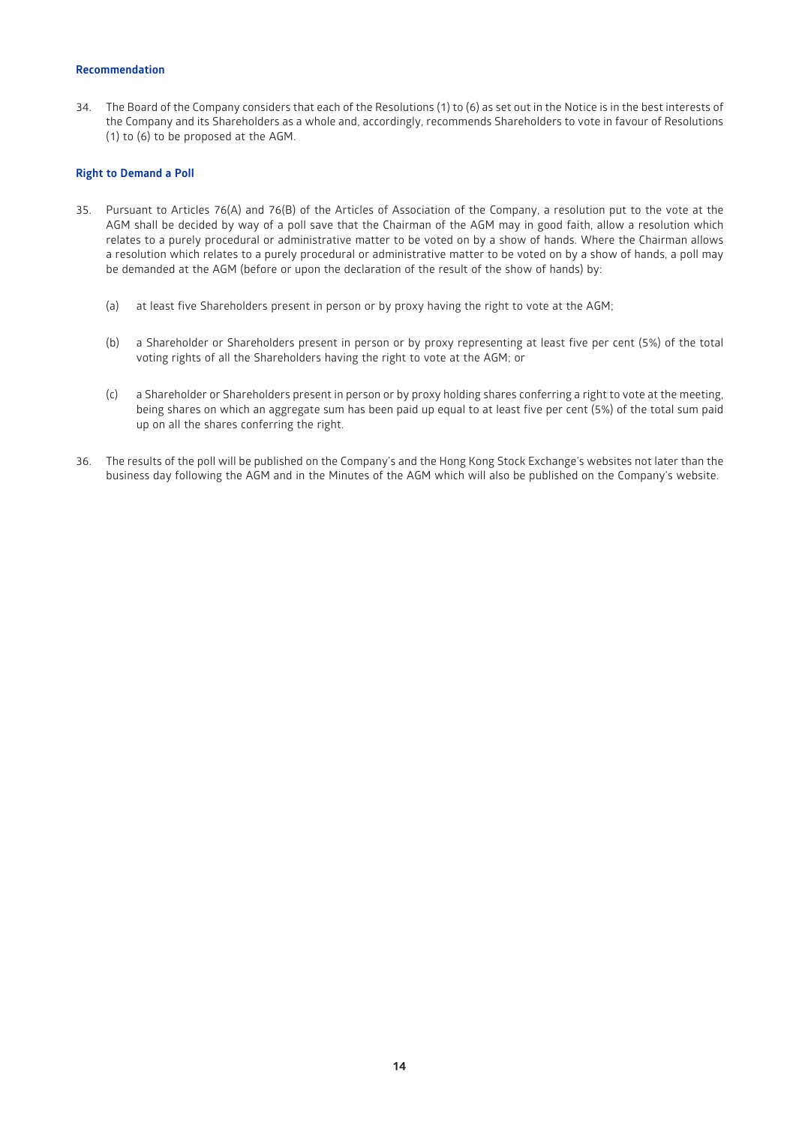## **Recommendation**

34. The Board of the Company considers that each of the Resolutions (1) to (6) as set out in the Notice is in the best interests of the Company and its Shareholders as a whole and, accordingly, recommends Shareholders to vote in favour of Resolutions (1) to (6) to be proposed at the AGM.

#### **Right to Demand a Poll**

- 35. Pursuant to Articles 76(A) and 76(B) of the Articles of Association of the Company, a resolution put to the vote at the AGM shall be decided by way of a poll save that the Chairman of the AGM may in good faith, allow a resolution which relates to a purely procedural or administrative matter to be voted on by a show of hands. Where the Chairman allows a resolution which relates to a purely procedural or administrative matter to be voted on by a show of hands, a poll may be demanded at the AGM (before or upon the declaration of the result of the show of hands) by:
	- (a) at least five Shareholders present in person or by proxy having the right to vote at the AGM;
	- (b) a Shareholder or Shareholders present in person or by proxy representing at least five per cent (5%) of the total voting rights of all the Shareholders having the right to vote at the AGM; or
	- (c) a Shareholder or Shareholders present in person or by proxy holding shares conferring a right to vote at the meeting, being shares on which an aggregate sum has been paid up equal to at least five per cent (5%) of the total sum paid up on all the shares conferring the right.
- 36. The results of the poll will be published on the Company's and the Hong Kong Stock Exchange's websites not later than the business day following the AGM and in the Minutes of the AGM which will also be published on the Company's website.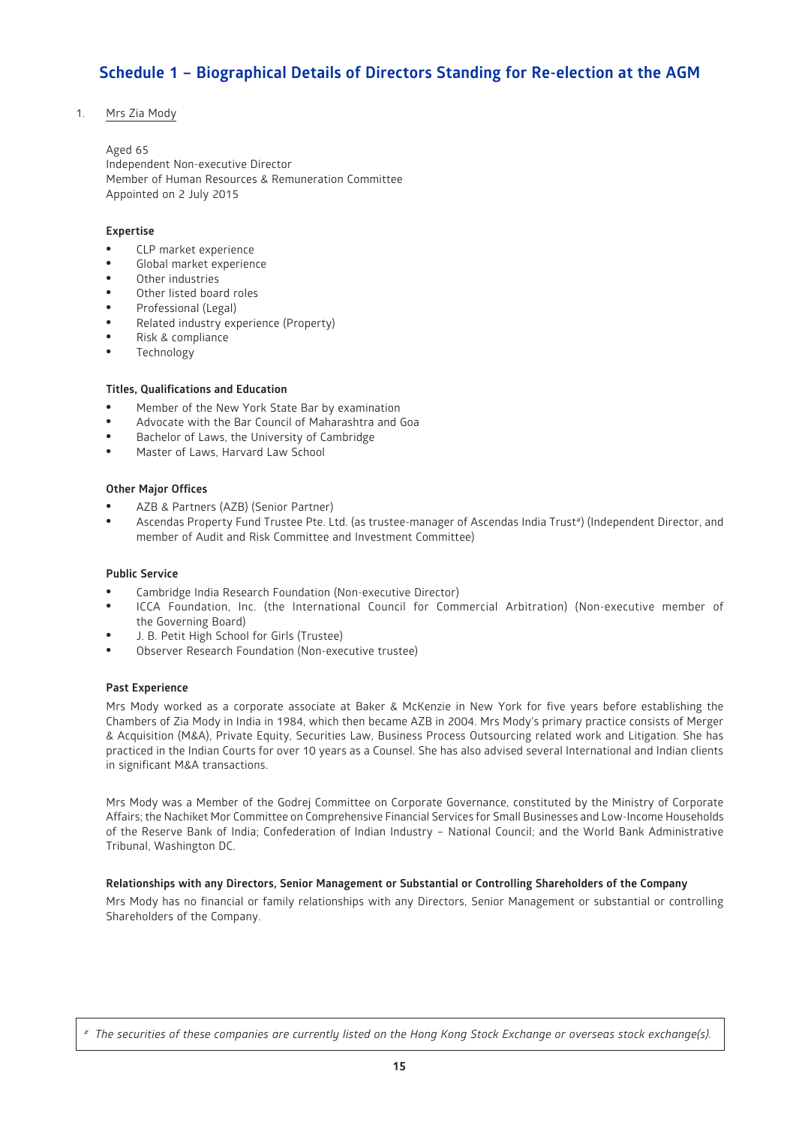# **Schedule 1 – Biographical Details of Directors Standing for Re-election at the AGM**

# 1. Mrs Zia Mody

Aged 65 Independent Non-executive Director Member of Human Resources & Remuneration Committee Appointed on 2 July 2015

# **Expertise**

- CLP market experience
- Global market experience
- Other industries
- Other listed board roles
- Professional (Legal)
- Related industry experience (Property)
- Risk & compliance
- **Technology**

## **Titles, Qualifications and Education**

- Member of the New York State Bar by examination
- Advocate with the Bar Council of Maharashtra and Goa
- Bachelor of Laws, the University of Cambridge
- Master of Laws, Harvard Law School

## **Other Major Offices**

- AZB & Partners (AZB) (Senior Partner)
- Ascendas Property Fund Trustee Pte. Ltd. (as trustee-manager of Ascendas India Trust<sup>#</sup>) (Independent Director, and member of Audit and Risk Committee and Investment Committee)

#### **Public Service**

- Cambridge India Research Foundation (Non-executive Director)
- ICCA Foundation, Inc. (the International Council for Commercial Arbitration) (Non-executive member of the Governing Board)
- J. B. Petit High School for Girls (Trustee)
- Observer Research Foundation (Non-executive trustee)

#### **Past Experience**

Mrs Mody worked as a corporate associate at Baker & McKenzie in New York for five years before establishing the Chambers of Zia Mody in India in 1984, which then became AZB in 2004. Mrs Mody's primary practice consists of Merger & Acquisition (M&A), Private Equity, Securities Law, Business Process Outsourcing related work and Litigation. She has practiced in the Indian Courts for over 10 years as a Counsel. She has also advised several International and Indian clients in significant M&A transactions.

Mrs Mody was a Member of the Godrej Committee on Corporate Governance, constituted by the Ministry of Corporate Affairs; the Nachiket Mor Committee on Comprehensive Financial Services for Small Businesses and Low-Income Households of the Reserve Bank of India; Confederation of Indian Industry – National Council; and the World Bank Administrative Tribunal, Washington DC.

#### **Relationships with any Directors, Senior Management or Substantial or Controlling Shareholders of the Company**

Mrs Mody has no financial or family relationships with any Directors, Senior Management or substantial or controlling Shareholders of the Company.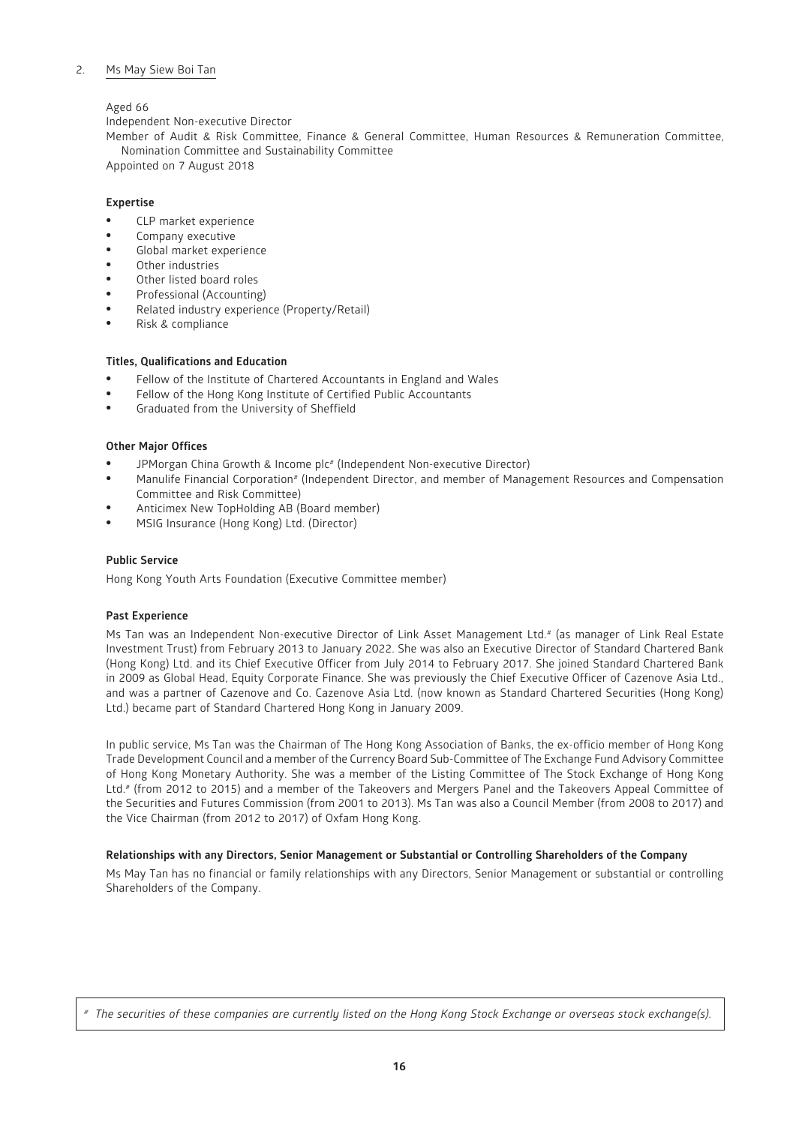## 2. Ms May Siew Boi Tan

# Aged 66

Independent Non-executive Director

Member of Audit & Risk Committee, Finance & General Committee, Human Resources & Remuneration Committee, Nomination Committee and Sustainability Committee

Appointed on 7 August 2018

# **Expertise**

- CLP market experience
- Company executive
- Global market experience
- Other industries
- Other listed board roles
- Professional (Accounting)
- Related industry experience (Property/Retail)
- Risk & compliance

# **Titles, Qualifications and Education**

- Fellow of the Institute of Chartered Accountants in England and Wales
- Fellow of the Hong Kong Institute of Certified Public Accountants
- Graduated from the University of Sheffield

#### **Other Major Offices**

- JPMorgan China Growth & Income plc<sup>#</sup> (Independent Non-executive Director)
- Manulife Financial Corporation# (Independent Director, and member of Management Resources and Compensation Committee and Risk Committee)
- Anticimex New TopHolding AB (Board member)
- MSIG Insurance (Hong Kong) Ltd. (Director)

#### **Public Service**

Hong Kong Youth Arts Foundation (Executive Committee member)

#### **Past Experience**

Ms Tan was an Independent Non-executive Director of Link Asset Management Ltd.# (as manager of Link Real Estate Investment Trust) from February 2013 to January 2022. She was also an Executive Director of Standard Chartered Bank (Hong Kong) Ltd. and its Chief Executive Officer from July 2014 to February 2017. She joined Standard Chartered Bank in 2009 as Global Head, Equity Corporate Finance. She was previously the Chief Executive Officer of Cazenove Asia Ltd., and was a partner of Cazenove and Co. Cazenove Asia Ltd. (now known as Standard Chartered Securities (Hong Kong) Ltd.) became part of Standard Chartered Hong Kong in January 2009.

In public service, Ms Tan was the Chairman of The Hong Kong Association of Banks, the ex-officio member of Hong Kong Trade Development Council and a member of the Currency Board Sub-Committee of The Exchange Fund Advisory Committee of Hong Kong Monetary Authority. She was a member of the Listing Committee of The Stock Exchange of Hong Kong Ltd.# (from 2012 to 2015) and a member of the Takeovers and Mergers Panel and the Takeovers Appeal Committee of the Securities and Futures Commission (from 2001 to 2013). Ms Tan was also a Council Member (from 2008 to 2017) and the Vice Chairman (from 2012 to 2017) of Oxfam Hong Kong.

#### **Relationships with any Directors, Senior Management or Substantial or Controlling Shareholders of the Company**

Ms May Tan has no financial or family relationships with any Directors, Senior Management or substantial or controlling Shareholders of the Company.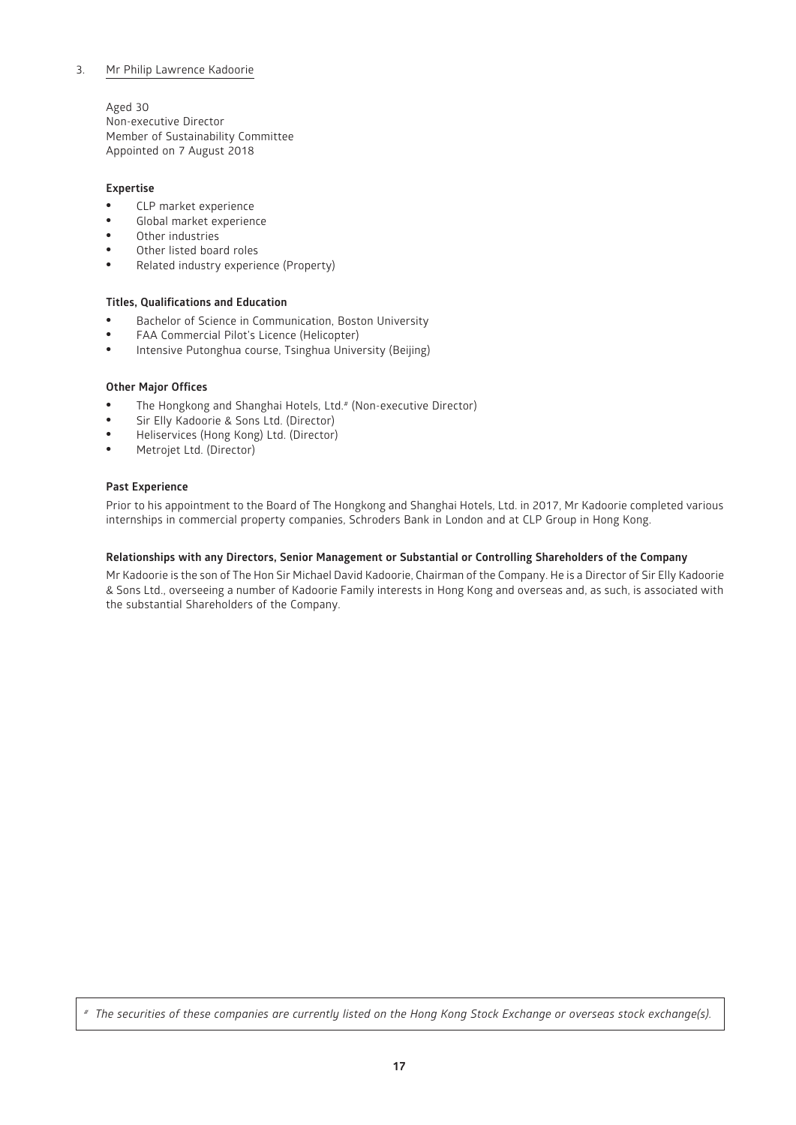# 3. Mr Philip Lawrence Kadoorie

Aged 30 Non-executive Director Member of Sustainability Committee Appointed on 7 August 2018

# **Expertise**

- CLP market experience
- Global market experience
- Other industries
- Other listed board roles
- Related industry experience (Property)

# **Titles, Qualifications and Education**

- Bachelor of Science in Communication, Boston University
- FAA Commercial Pilot's Licence (Helicopter)
- Intensive Putonghua course, Tsinghua University (Beijing)

# **Other Major Offices**

- The Hongkong and Shanghai Hotels, Ltd. # (Non-executive Director)<br>• Sir Elly Kadoorie & Sons Ltd. (Director)
- Sir Elly Kadoorie & Sons Ltd. (Director)
- Heliservices (Hong Kong) Ltd. (Director)
- Metrojet Ltd. (Director)

# **Past Experience**

Prior to his appointment to the Board of The Hongkong and Shanghai Hotels, Ltd. in 2017, Mr Kadoorie completed various internships in commercial property companies, Schroders Bank in London and at CLP Group in Hong Kong.

# **Relationships with any Directors, Senior Management or Substantial or Controlling Shareholders of the Company**

Mr Kadoorie is the son of The Hon Sir Michael David Kadoorie, Chairman of the Company. He is a Director of Sir Elly Kadoorie & Sons Ltd., overseeing a number of Kadoorie Family interests in Hong Kong and overseas and, as such, is associated with the substantial Shareholders of the Company.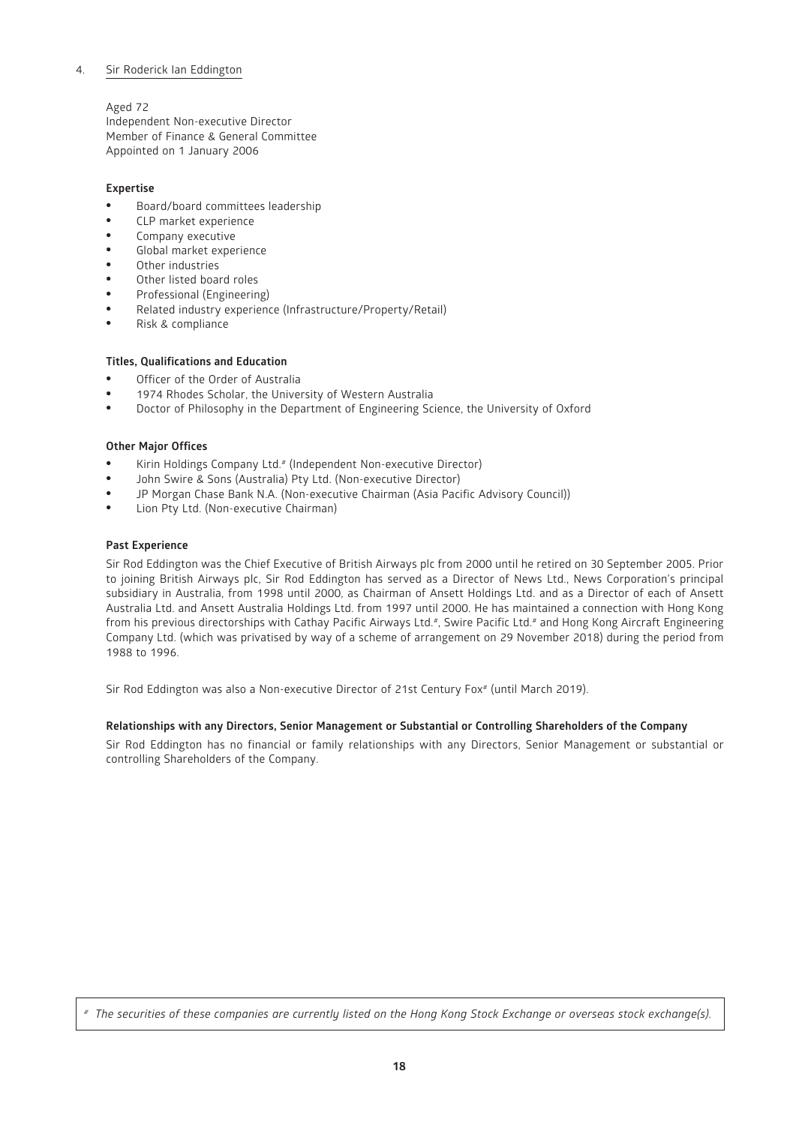# 4. Sir Roderick Ian Eddington

# Aged 72

Independent Non-executive Director Member of Finance & General Committee Appointed on 1 January 2006

# **Expertise**

- Board/board committees leadership
- CLP market experience
- Company executive
- Global market experience
- Other industries
- Other listed board roles
- Professional (Engineering)
- Related industry experience (Infrastructure/Property/Retail)
- Risk & compliance

# **Titles, Qualifications and Education**

- Officer of the Order of Australia
- 1974 Rhodes Scholar, the University of Western Australia
- Doctor of Philosophy in the Department of Engineering Science, the University of Oxford

## **Other Major Offices**

- Kirin Holdings Company Ltd.<sup>#</sup> (Independent Non-executive Director)
- John Swire & Sons (Australia) Pty Ltd. (Non-executive Director)
- JP Morgan Chase Bank N.A. (Non-executive Chairman (Asia Pacific Advisory Council))
- Lion Pty Ltd. (Non-executive Chairman)

## **Past Experience**

Sir Rod Eddington was the Chief Executive of British Airways plc from 2000 until he retired on 30 September 2005. Prior to joining British Airways plc, Sir Rod Eddington has served as a Director of News Ltd., News Corporation's principal subsidiary in Australia, from 1998 until 2000, as Chairman of Ansett Holdings Ltd. and as a Director of each of Ansett Australia Ltd. and Ansett Australia Holdings Ltd. from 1997 until 2000. He has maintained a connection with Hong Kong from his previous directorships with Cathay Pacific Airways Ltd.<sup>#</sup>, Swire Pacific Ltd.<sup>#</sup> and Hong Kong Aircraft Engineering Company Ltd. (which was privatised by way of a scheme of arrangement on 29 November 2018) during the period from 1988 to 1996.

Sir Rod Eddington was also a Non-executive Director of 21st Century Fox<sup>#</sup> (until March 2019).

# **Relationships with any Directors, Senior Management or Substantial or Controlling Shareholders of the Company**

Sir Rod Eddington has no financial or family relationships with any Directors, Senior Management or substantial or controlling Shareholders of the Company.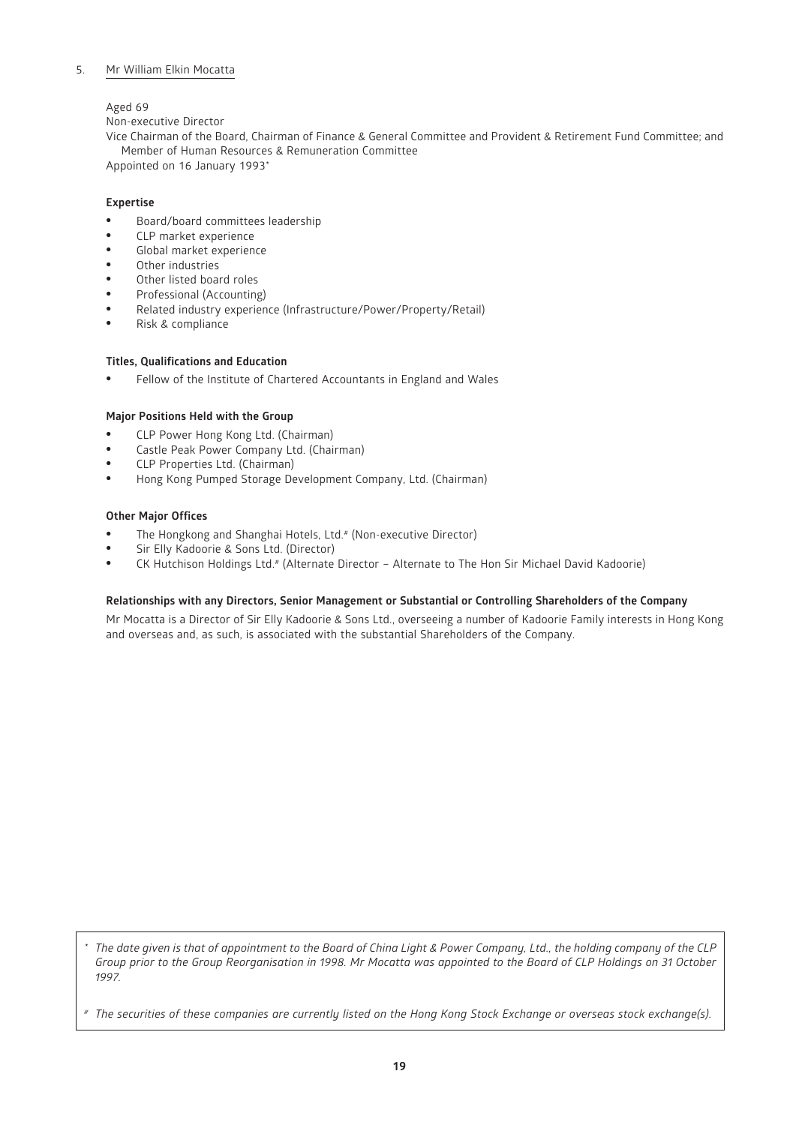# 5. Mr William Elkin Mocatta

## Aged 69

Non-executive Director

Vice Chairman of the Board, Chairman of Finance & General Committee and Provident & Retirement Fund Committee; and Member of Human Resources & Remuneration Committee

Appointed on 16 January 1993\*

# **Expertise**

- Board/board committees leadership
- CLP market experience
- Global market experience
- Other industries
- Other listed board roles
- Professional (Accounting)
- Related industry experience (Infrastructure/Power/Property/Retail)
- Risk & compliance

# **Titles, Qualifications and Education**

• Fellow of the Institute of Chartered Accountants in England and Wales

## **Major Positions Held with the Group**

- CLP Power Hong Kong Ltd. (Chairman)
- Castle Peak Power Company Ltd. (Chairman)
- CLP Properties Ltd. (Chairman)
- Hong Kong Pumped Storage Development Company, Ltd. (Chairman)

## **Other Major Offices**

- The Hongkong and Shanghai Hotels, Ltd.<sup>#</sup> (Non-executive Director)
- Sir Elly Kadoorie & Sons Ltd. (Director)<br>• CK Hutchison Holdings Ltd # (Alternate)
- CK Hutchison Holdings Ltd.# (Alternate Director Alternate to The Hon Sir Michael David Kadoorie)

#### **Relationships with any Directors, Senior Management or Substantial or Controlling Shareholders of the Company**

Mr Mocatta is a Director of Sir Elly Kadoorie & Sons Ltd., overseeing a number of Kadoorie Family interests in Hong Kong and overseas and, as such, is associated with the substantial Shareholders of the Company.

*\* The date given is that of appointment to the Board of China Light & Power Company, Ltd., the holding company of the CLP Group prior to the Group Reorganisation in 1998. Mr Mocatta was appointed to the Board of CLP Holdings on 31 October 1997.*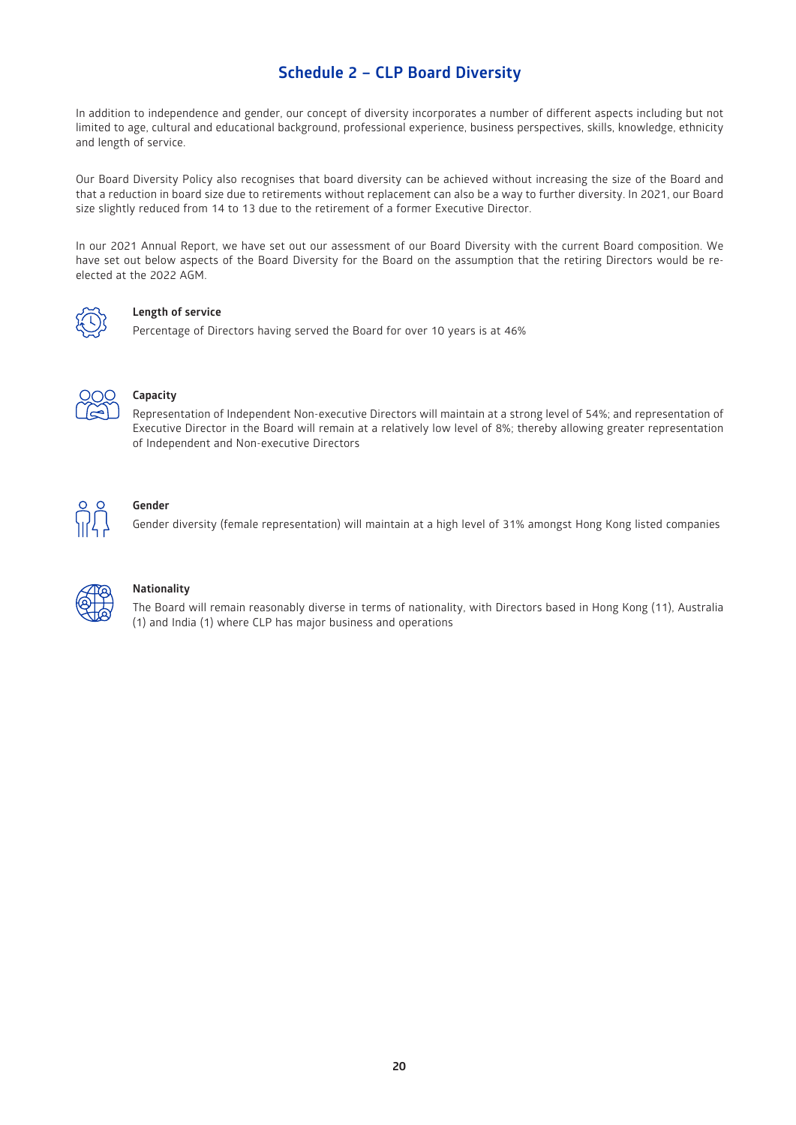# **Schedule 2 – CLP Board Diversity**

In addition to independence and gender, our concept of diversity incorporates a number of different aspects including but not limited to age, cultural and educational background, professional experience, business perspectives, skills, knowledge, ethnicity and length of service.

Our Board Diversity Policy also recognises that board diversity can be achieved without increasing the size of the Board and that a reduction in board size due to retirements without replacement can also be a way to further diversity. In 2021, our Board size slightly reduced from 14 to 13 due to the retirement of a former Executive Director.

In our 2021 Annual Report, we have set out our assessment of our Board Diversity with the current Board composition. We have set out below aspects of the Board Diversity for the Board on the assumption that the retiring Directors would be reelected at the 2022 AGM.



## **Length of service**

Percentage of Directors having served the Board for over 10 years is at 46%



# **Capacity**

Representation of Independent Non-executive Directors will maintain at a strong level of 54%; and representation of Executive Director in the Board will remain at a relatively low level of 8%; thereby allowing greater representation of Independent and Non-executive Directors



# **Gender**

Gender diversity (female representation) will maintain at a high level of 31% amongst Hong Kong listed companies



# **Nationality**

The Board will remain reasonably diverse in terms of nationality, with Directors based in Hong Kong (11), Australia (1) and India (1) where CLP has major business and operations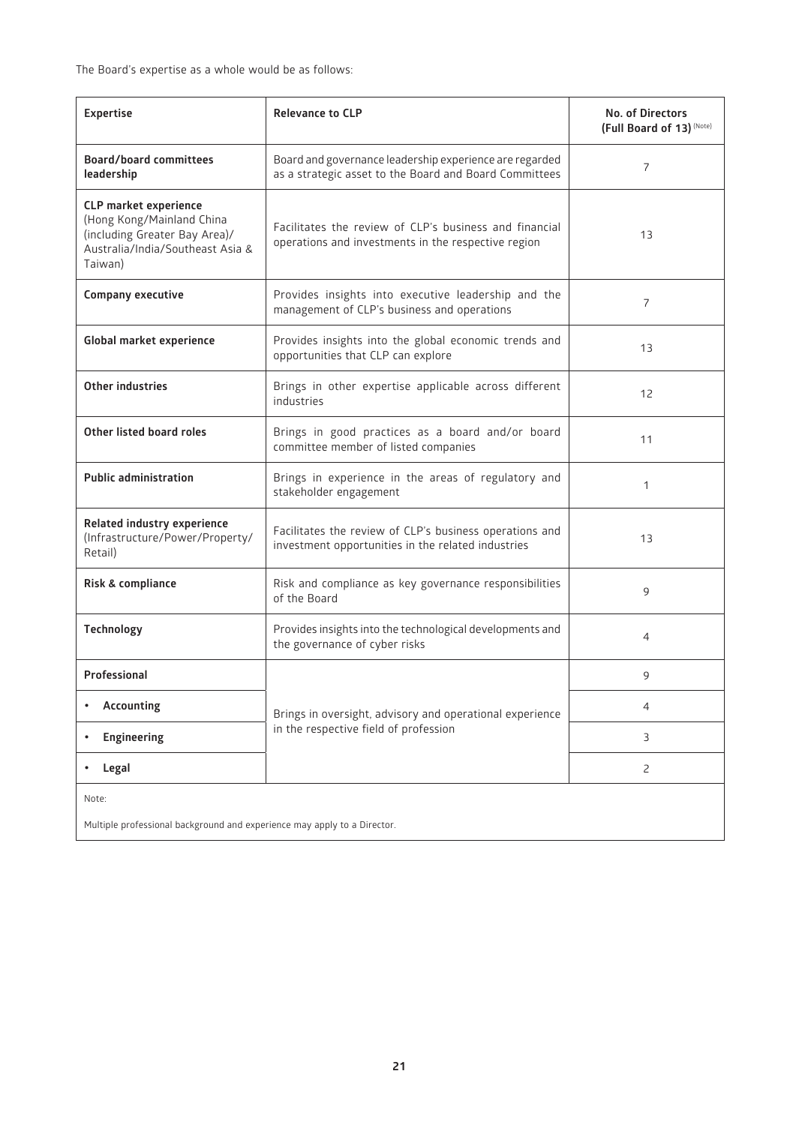The Board's expertise as a whole would be as follows:

| <b>Expertise</b>                                                                                                                          | <b>Relevance to CLP</b>                                                                                           | <b>No. of Directors</b><br>(Full Board of 13) (Note) |  |
|-------------------------------------------------------------------------------------------------------------------------------------------|-------------------------------------------------------------------------------------------------------------------|------------------------------------------------------|--|
| <b>Board/board committees</b><br>leadership                                                                                               | Board and governance leadership experience are regarded<br>as a strategic asset to the Board and Board Committees | 7                                                    |  |
| <b>CLP market experience</b><br>(Hong Kong/Mainland China<br>(including Greater Bay Area)/<br>Australia/India/Southeast Asia &<br>Taiwan) | Facilitates the review of CLP's business and financial<br>operations and investments in the respective region     | 13                                                   |  |
| <b>Company executive</b>                                                                                                                  | Provides insights into executive leadership and the<br>management of CLP's business and operations                | $\overline{7}$                                       |  |
| Global market experience                                                                                                                  | Provides insights into the global economic trends and<br>opportunities that CLP can explore                       | 13                                                   |  |
| <b>Other industries</b>                                                                                                                   | Brings in other expertise applicable across different<br>industries                                               | 12                                                   |  |
| Other listed board roles                                                                                                                  | Brings in good practices as a board and/or board<br>committee member of listed companies                          | 11                                                   |  |
| <b>Public administration</b>                                                                                                              | Brings in experience in the areas of regulatory and<br>stakeholder engagement                                     | $\mathbf{1}$                                         |  |
| Related industry experience<br>(Infrastructure/Power/Property/<br>Retail)                                                                 | Facilitates the review of CLP's business operations and<br>investment opportunities in the related industries     | 13                                                   |  |
| Risk & compliance                                                                                                                         | Risk and compliance as key governance responsibilities<br>of the Board                                            | 9                                                    |  |
| Technology                                                                                                                                | Provides insights into the technological developments and<br>the governance of cyber risks                        | 4                                                    |  |
| Professional                                                                                                                              |                                                                                                                   | 9                                                    |  |
| <b>Accounting</b>                                                                                                                         | Brings in oversight, advisory and operational experience                                                          | 4                                                    |  |
| <b>Engineering</b><br>$\bullet$                                                                                                           | in the respective field of profession                                                                             | 3                                                    |  |
| Legal<br>$\bullet$                                                                                                                        |                                                                                                                   | $\overline{c}$                                       |  |
| Note:                                                                                                                                     |                                                                                                                   |                                                      |  |
| Multiple professional background and experience may apply to a Director.                                                                  |                                                                                                                   |                                                      |  |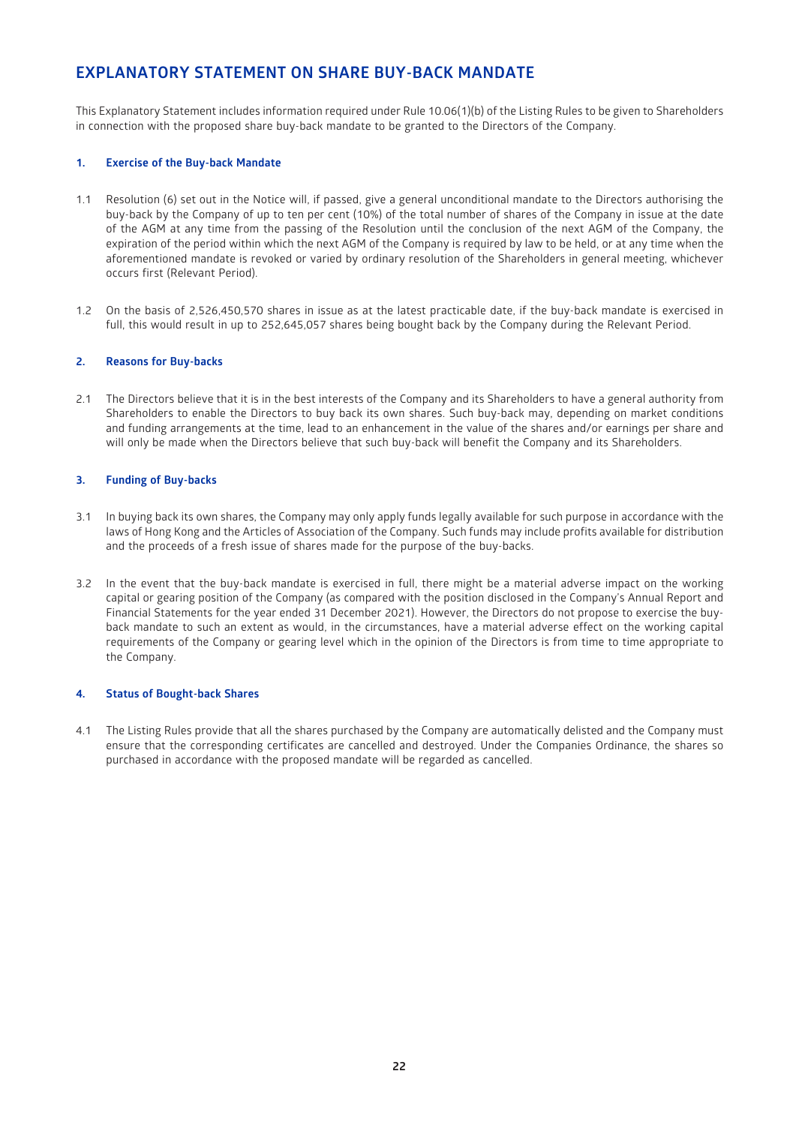# **EXPLANATORY STATEMENT ON SHARE BUY-BACK MANDATE**

This Explanatory Statement includes information required under Rule 10.06(1)(b) of the Listing Rules to be given to Shareholders in connection with the proposed share buy-back mandate to be granted to the Directors of the Company.

## **1. Exercise of the Buy-back Mandate**

- 1.1 Resolution (6) set out in the Notice will, if passed, give a general unconditional mandate to the Directors authorising the buy-back by the Company of up to ten per cent (10%) of the total number of shares of the Company in issue at the date of the AGM at any time from the passing of the Resolution until the conclusion of the next AGM of the Company, the expiration of the period within which the next AGM of the Company is required by law to be held, or at any time when the aforementioned mandate is revoked or varied by ordinary resolution of the Shareholders in general meeting, whichever occurs first (Relevant Period).
- 1.2 On the basis of 2,526,450,570 shares in issue as at the latest practicable date, if the buy-back mandate is exercised in full, this would result in up to 252,645,057 shares being bought back by the Company during the Relevant Period.

## **2. Reasons for Buy-backs**

2.1 The Directors believe that it is in the best interests of the Company and its Shareholders to have a general authority from Shareholders to enable the Directors to buy back its own shares. Such buy-back may, depending on market conditions and funding arrangements at the time, lead to an enhancement in the value of the shares and/or earnings per share and will only be made when the Directors believe that such buy-back will benefit the Company and its Shareholders.

## **3. Funding of Buy-backs**

- 3.1 In buying back its own shares, the Company may only apply funds legally available for such purpose in accordance with the laws of Hong Kong and the Articles of Association of the Company. Such funds may include profits available for distribution and the proceeds of a fresh issue of shares made for the purpose of the buy-backs.
- 3.2 In the event that the buy-back mandate is exercised in full, there might be a material adverse impact on the working capital or gearing position of the Company (as compared with the position disclosed in the Company's Annual Report and Financial Statements for the year ended 31 December 2021). However, the Directors do not propose to exercise the buyback mandate to such an extent as would, in the circumstances, have a material adverse effect on the working capital requirements of the Company or gearing level which in the opinion of the Directors is from time to time appropriate to the Company.

# **4. Status of Bought-back Shares**

4.1 The Listing Rules provide that all the shares purchased by the Company are automatically delisted and the Company must ensure that the corresponding certificates are cancelled and destroyed. Under the Companies Ordinance, the shares so purchased in accordance with the proposed mandate will be regarded as cancelled.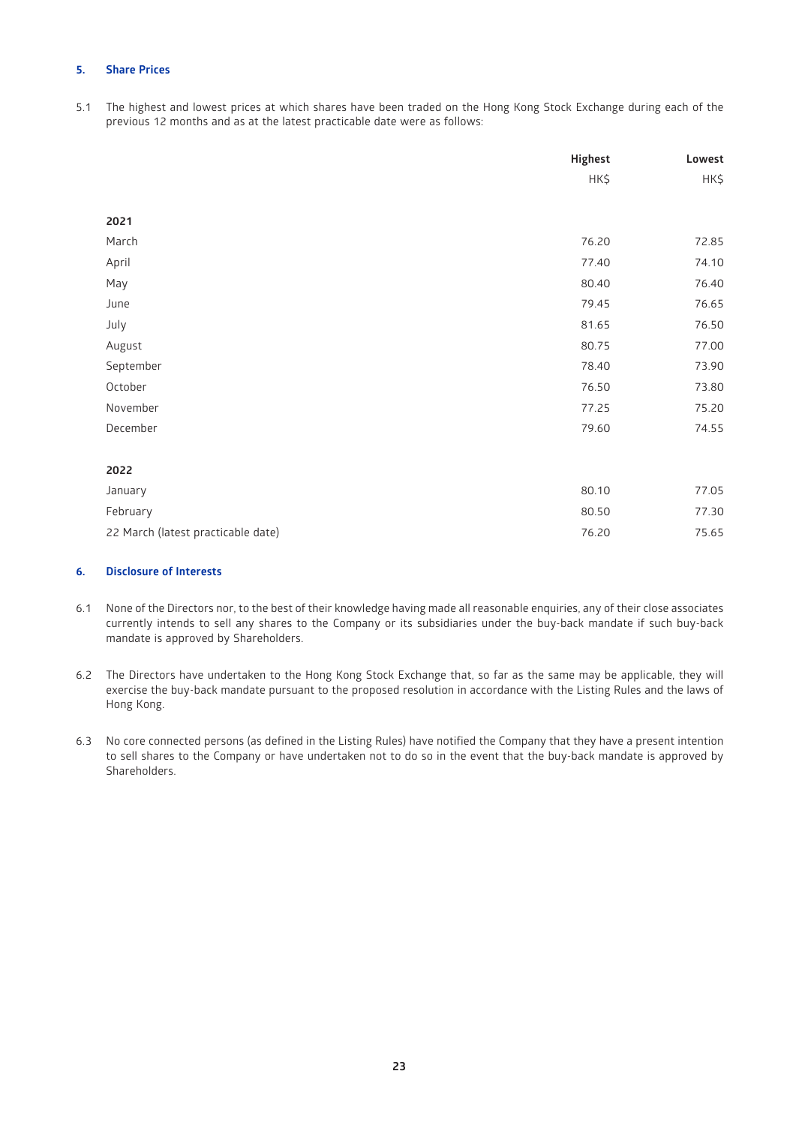# **5. Share Prices**

5.1 The highest and lowest prices at which shares have been traded on the Hong Kong Stock Exchange during each of the previous 12 months and as at the latest practicable date were as follows:

|                                    | <b>Highest</b> | Lowest |
|------------------------------------|----------------|--------|
|                                    | HK\$           | HK\$   |
|                                    |                |        |
| 2021                               |                |        |
| March                              | 76.20          | 72.85  |
| April                              | 77.40          | 74.10  |
| May                                | 80.40          | 76.40  |
| June                               | 79.45          | 76.65  |
| July                               | 81.65          | 76.50  |
| August                             | 80.75          | 77.00  |
| September                          | 78.40          | 73.90  |
| October                            | 76.50          | 73.80  |
| November                           | 77.25          | 75.20  |
| December                           | 79.60          | 74.55  |
|                                    |                |        |
| 2022                               |                |        |
| January                            | 80.10          | 77.05  |
| February                           | 80.50          | 77.30  |
| 22 March (latest practicable date) | 76.20          | 75.65  |

# **6. Disclosure of Interests**

- 6.1 None of the Directors nor, to the best of their knowledge having made all reasonable enquiries, any of their close associates currently intends to sell any shares to the Company or its subsidiaries under the buy-back mandate if such buy-back mandate is approved by Shareholders.
- 6.2 The Directors have undertaken to the Hong Kong Stock Exchange that, so far as the same may be applicable, they will exercise the buy-back mandate pursuant to the proposed resolution in accordance with the Listing Rules and the laws of Hong Kong.
- 6.3 No core connected persons (as defined in the Listing Rules) have notified the Company that they have a present intention to sell shares to the Company or have undertaken not to do so in the event that the buy-back mandate is approved by Shareholders.